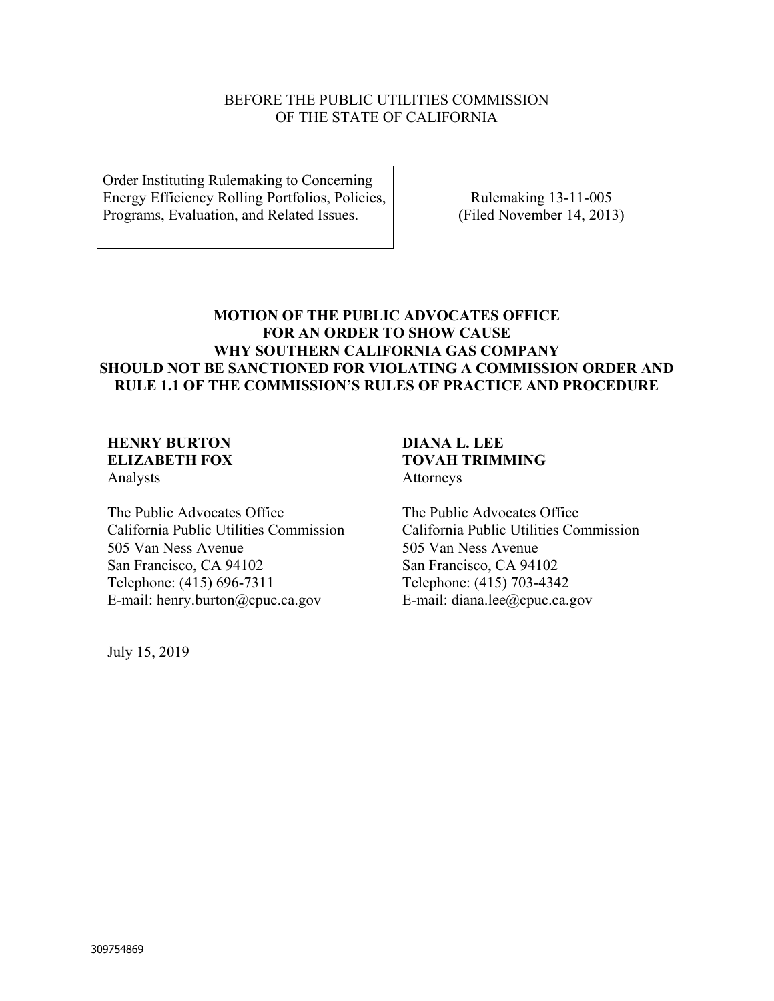#### BEFORE THE PUBLIC UTILITIES COMMISSION OF THE STATE OF CALIFORNIA

Order Instituting Rulemaking to Concerning Energy Efficiency Rolling Portfolios, Policies, Programs, Evaluation, and Related Issues.

Rulemaking 13-11-005 (Filed November 14, 2013)

## **MOTION OF THE PUBLIC ADVOCATES OFFICE FOR AN ORDER TO SHOW CAUSE WHY SOUTHERN CALIFORNIA GAS COMPANY SHOULD NOT BE SANCTIONED FOR VIOLATING A COMMISSION ORDER AND RULE 1.1 OF THE COMMISSION'S RULES OF PRACTICE AND PROCEDURE**

# **HENRY BURTON ELIZABETH FOX**

Analysts

The Public Advocates Office California Public Utilities Commission 505 Van Ness Avenue San Francisco, CA 94102 Telephone: (415) 696-7311 E-mail: henry.burton@cpuc.ca.gov

July 15, 2019

#### **DIANA L. LEE TOVAH TRIMMING**  Attorneys

The Public Advocates Office California Public Utilities Commission 505 Van Ness Avenue San Francisco, CA 94102 Telephone: (415) 703-4342 E-mail: diana.lee@cpuc.ca.gov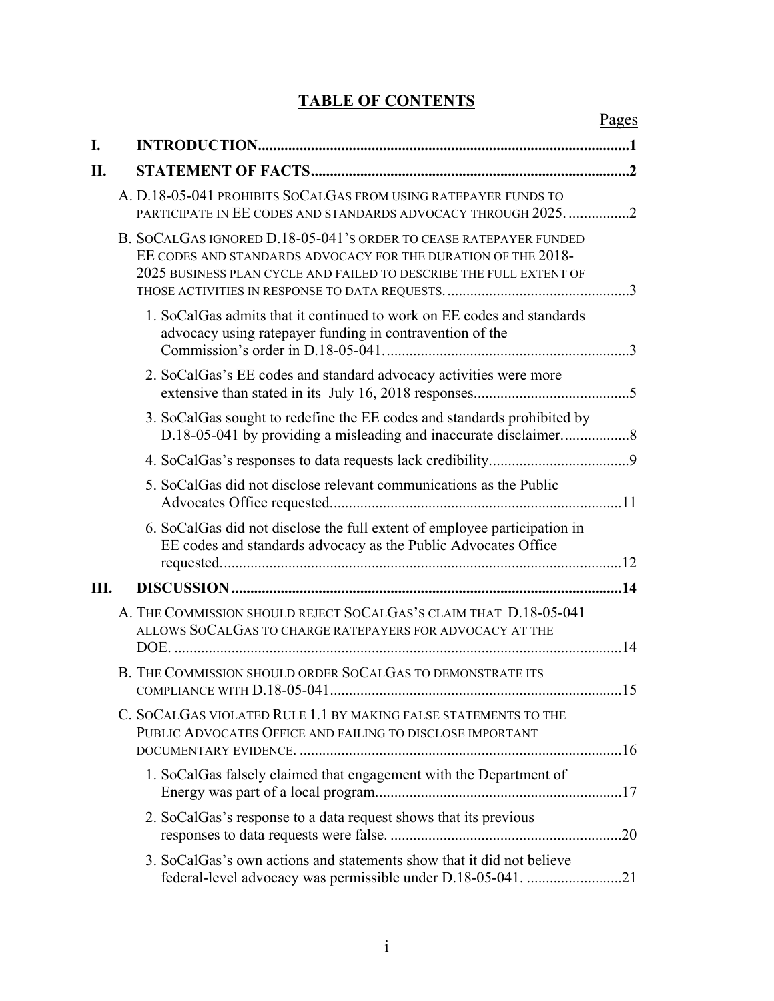# **TABLE OF CONTENTS**

|     |                                                            |                                                                                                                                                                                                          | Pages |
|-----|------------------------------------------------------------|----------------------------------------------------------------------------------------------------------------------------------------------------------------------------------------------------------|-------|
| I.  |                                                            |                                                                                                                                                                                                          |       |
| II. |                                                            |                                                                                                                                                                                                          |       |
|     |                                                            | A. D.18-05-041 PROHIBITS SOCALGAS FROM USING RATEPAYER FUNDS TO<br>PARTICIPATE IN EE CODES AND STANDARDS ADVOCACY THROUGH 2025. 2                                                                        |       |
|     |                                                            | B. SOCALGAS IGNORED D.18-05-041'S ORDER TO CEASE RATEPAYER FUNDED<br>EE CODES AND STANDARDS ADVOCACY FOR THE DURATION OF THE 2018-<br>2025 BUSINESS PLAN CYCLE AND FAILED TO DESCRIBE THE FULL EXTENT OF |       |
|     |                                                            | 1. SoCalGas admits that it continued to work on EE codes and standards<br>advocacy using ratepayer funding in contravention of the                                                                       |       |
|     |                                                            | 2. SoCalGas's EE codes and standard advocacy activities were more                                                                                                                                        |       |
|     |                                                            | 3. SoCalGas sought to redefine the EE codes and standards prohibited by                                                                                                                                  |       |
|     |                                                            |                                                                                                                                                                                                          |       |
|     |                                                            | 5. SoCalGas did not disclose relevant communications as the Public                                                                                                                                       |       |
|     |                                                            | 6. SoCalGas did not disclose the full extent of employee participation in<br>EE codes and standards advocacy as the Public Advocates Office                                                              |       |
| Ш.  |                                                            |                                                                                                                                                                                                          |       |
|     |                                                            | A. THE COMMISSION SHOULD REJECT SOCALGAS'S CLAIM THAT D.18-05-041<br>ALLOWS SOCALGAS TO CHARGE RATEPAYERS FOR ADVOCACY AT THE                                                                            |       |
|     | B. THE COMMISSION SHOULD ORDER SOCALGAS TO DEMONSTRATE ITS |                                                                                                                                                                                                          |       |
|     |                                                            | C. SOCALGAS VIOLATED RULE 1.1 BY MAKING FALSE STATEMENTS TO THE<br>PUBLIC ADVOCATES OFFICE AND FAILING TO DISCLOSE IMPORTANT                                                                             |       |
|     |                                                            | 1. SoCalGas falsely claimed that engagement with the Department of                                                                                                                                       |       |
|     |                                                            | 2. SoCalGas's response to a data request shows that its previous                                                                                                                                         |       |
|     |                                                            | 3. SoCalGas's own actions and statements show that it did not believe<br>federal-level advocacy was permissible under D.18-05-041. 21                                                                    |       |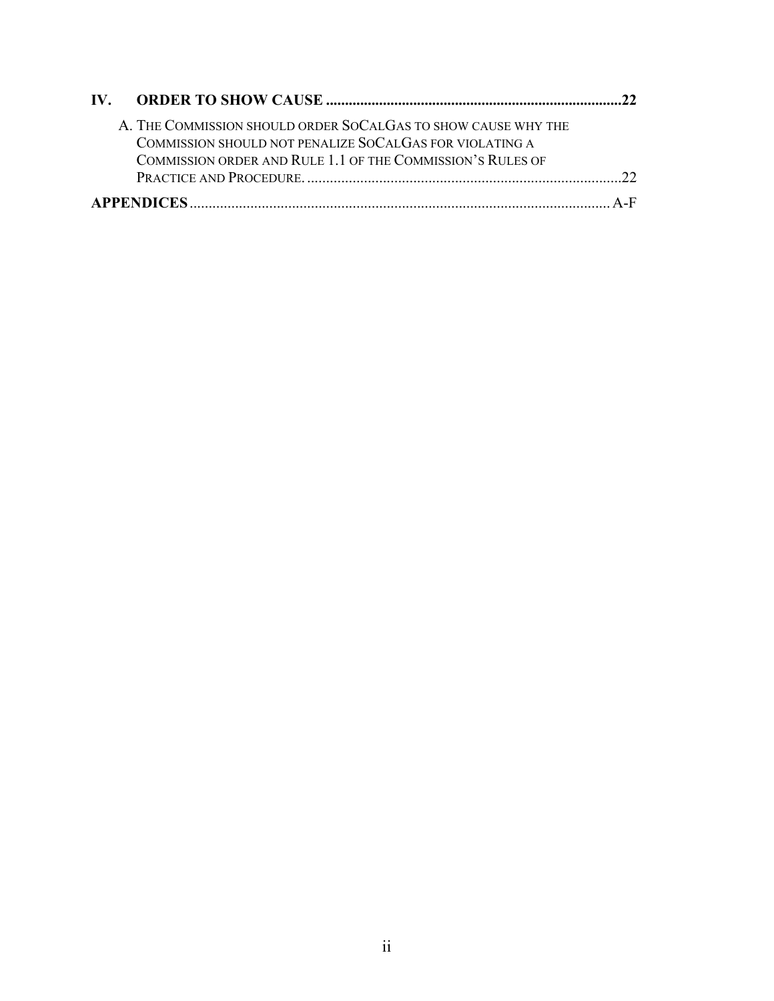| A. THE COMMISSION SHOULD ORDER SOCALGAS TO SHOW CAUSE WHY THE |  |
|---------------------------------------------------------------|--|
| COMMISSION SHOULD NOT PENALIZE SOCALGAS FOR VIOLATING A       |  |
| COMMISSION ORDER AND RULE 1.1 OF THE COMMISSION'S RULES OF    |  |
|                                                               |  |
|                                                               |  |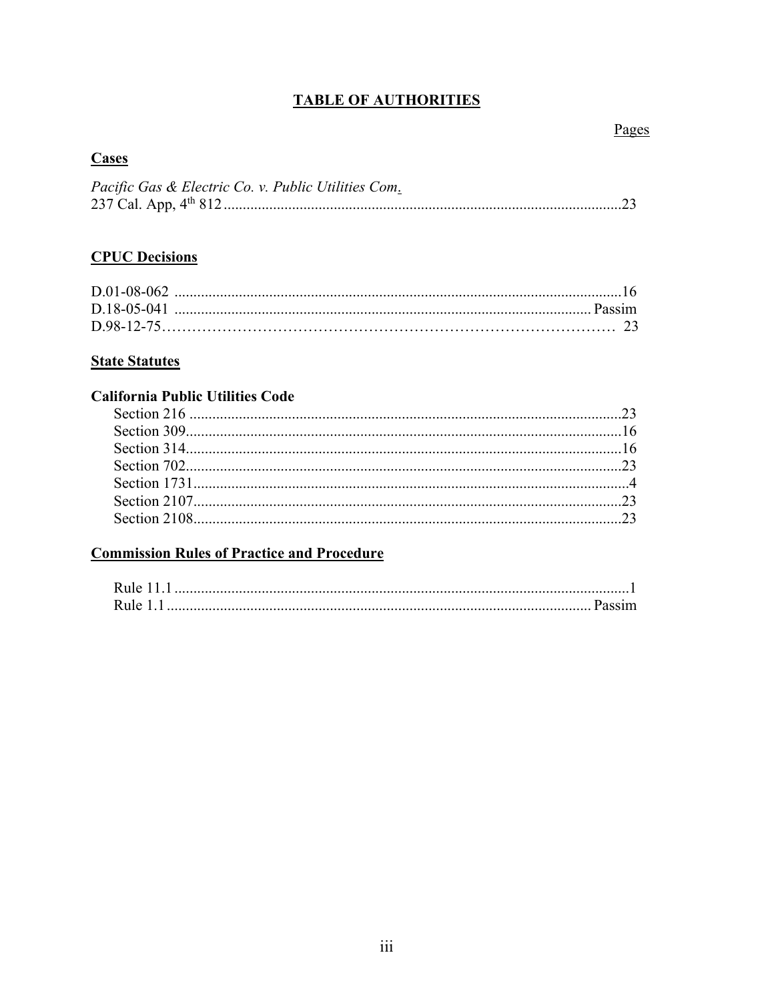## **TABLE OF AUTHORITIES**

## Pages

## **Cases**

| Pacific Gas & Electric Co. v. Public Utilities Com. |  |
|-----------------------------------------------------|--|
|                                                     |  |

# **CPUC Decisions**

#### **State Statutes**

## **California Public Utilities Code**

# **Commission Rules of Practice and Procedure**

| Rule 11 |  |
|---------|--|
| Rule 1  |  |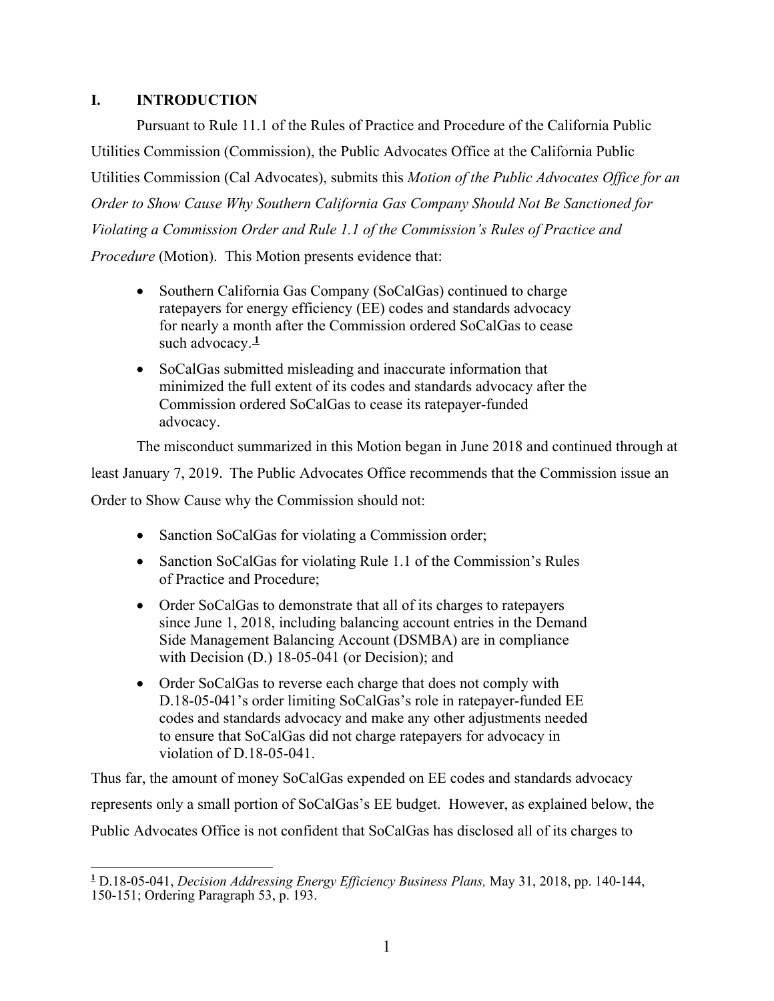## **I. INTRODUCTION**

Pursuant to Rule 11.1 of the Rules of Practice and Procedure of the California Public Utilities Commission (Commission), the Public Advocates Office at the California Public Utilities Commission (Cal Advocates), submits this *Motion of the Public Advocates Office for an Order to Show Cause Why Southern California Gas Company Should Not Be Sanctioned for Violating a Commission Order and Rule 1.1 of the Commission's Rules of Practice and Procedure* (Motion). This Motion presents evidence that:

- Southern California Gas Company (SoCalGas) continued to charge ratepayers for energy efficiency (EE) codes and standards advocacy for nearly a month after the Commission ordered SoCalGas to cease such advocacy.**<sup>1</sup>**
- SoCalGas submitted misleading and inaccurate information that minimized the full extent of its codes and standards advocacy after the Commission ordered SoCalGas to cease its ratepayer-funded advocacy.

The misconduct summarized in this Motion began in June 2018 and continued through at

least January 7, 2019. The Public Advocates Office recommends that the Commission issue an Order to Show Cause why the Commission should not:

- Sanction SoCalGas for violating a Commission order;
- Sanction SoCalGas for violating Rule 1.1 of the Commission's Rules of Practice and Procedure;
- Order SoCalGas to demonstrate that all of its charges to ratepayers since June 1, 2018, including balancing account entries in the Demand Side Management Balancing Account (DSMBA) are in compliance with Decision (D.) 18-05-041 (or Decision); and
- Order SoCalGas to reverse each charge that does not comply with D.18-05-041's order limiting SoCalGas's role in ratepayer-funded EE codes and standards advocacy and make any other adjustments needed to ensure that SoCalGas did not charge ratepayers for advocacy in violation of D.18-05-041.

Thus far, the amount of money SoCalGas expended on EE codes and standards advocacy represents only a small portion of SoCalGas's EE budget. However, as explained below, the Public Advocates Office is not confident that SoCalGas has disclosed all of its charges to

 $\overline{a}$ **1** D.18-05-041, *Decision Addressing Energy Efficiency Business Plans,* May 31, 2018, pp. 140-144, 150-151; Ordering Paragraph 53, p. 193.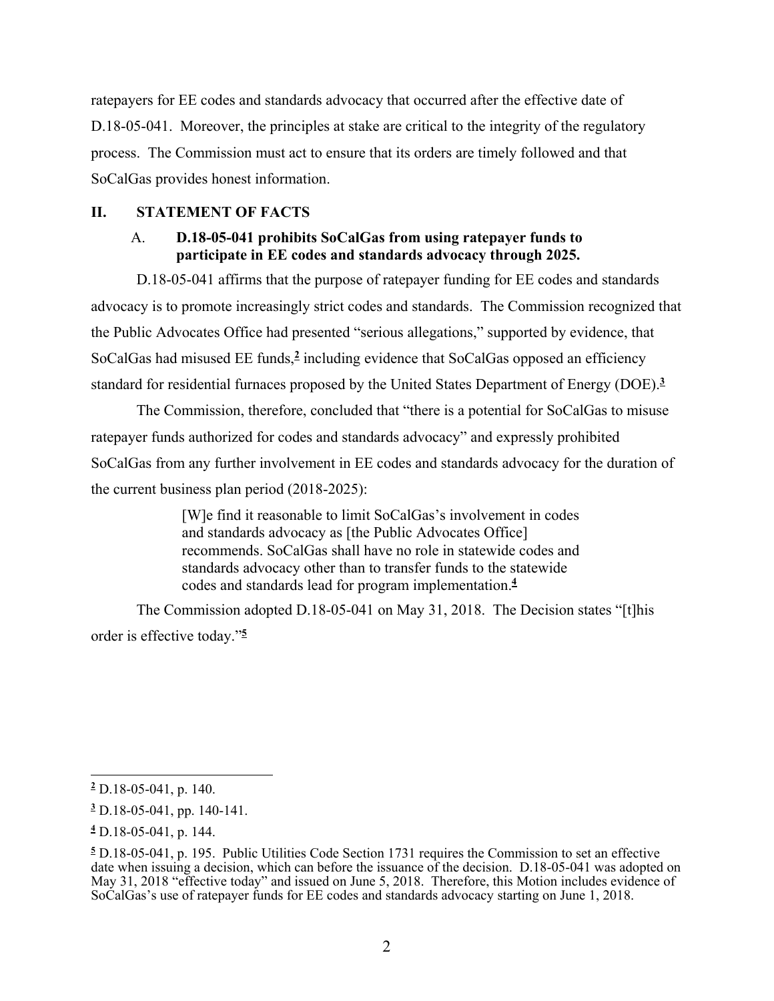ratepayers for EE codes and standards advocacy that occurred after the effective date of D.18-05-041. Moreover, the principles at stake are critical to the integrity of the regulatory process. The Commission must act to ensure that its orders are timely followed and that SoCalGas provides honest information.

#### **II. STATEMENT OF FACTS**

#### A. **D.18-05-041 prohibits SoCalGas from using ratepayer funds to participate in EE codes and standards advocacy through 2025.**

D.18-05-041 affirms that the purpose of ratepayer funding for EE codes and standards advocacy is to promote increasingly strict codes and standards. The Commission recognized that the Public Advocates Office had presented "serious allegations," supported by evidence, that SoCalGas had misused EE funds,**<sup>2</sup>** including evidence that SoCalGas opposed an efficiency standard for residential furnaces proposed by the United States Department of Energy (DOE).**<sup>3</sup>**

The Commission, therefore, concluded that "there is a potential for SoCalGas to misuse ratepayer funds authorized for codes and standards advocacy" and expressly prohibited SoCalGas from any further involvement in EE codes and standards advocacy for the duration of the current business plan period (2018-2025):

> [W]e find it reasonable to limit SoCalGas's involvement in codes and standards advocacy as [the Public Advocates Office] recommends. SoCalGas shall have no role in statewide codes and standards advocacy other than to transfer funds to the statewide codes and standards lead for program implementation.**<sup>4</sup>**

The Commission adopted D.18-05-041 on May 31, 2018. The Decision states "[t]his order is effective today."**<sup>5</sup>**

 $\overline{a}$ **2** D.18-05-041, p. 140.

**<sup>3</sup>** D.18-05-041, pp. 140-141.

**<sup>4</sup>** D.18-05-041, p. 144.

**<sup>5</sup>** D.18-05-041, p. 195. Public Utilities Code Section 1731 requires the Commission to set an effective date when issuing a decision, which can before the issuance of the decision. D.18-05-041 was adopted on May 31, 2018 "effective today" and issued on June 5, 2018. Therefore, this Motion includes evidence of SoCalGas's use of ratepayer funds for EE codes and standards advocacy starting on June 1, 2018.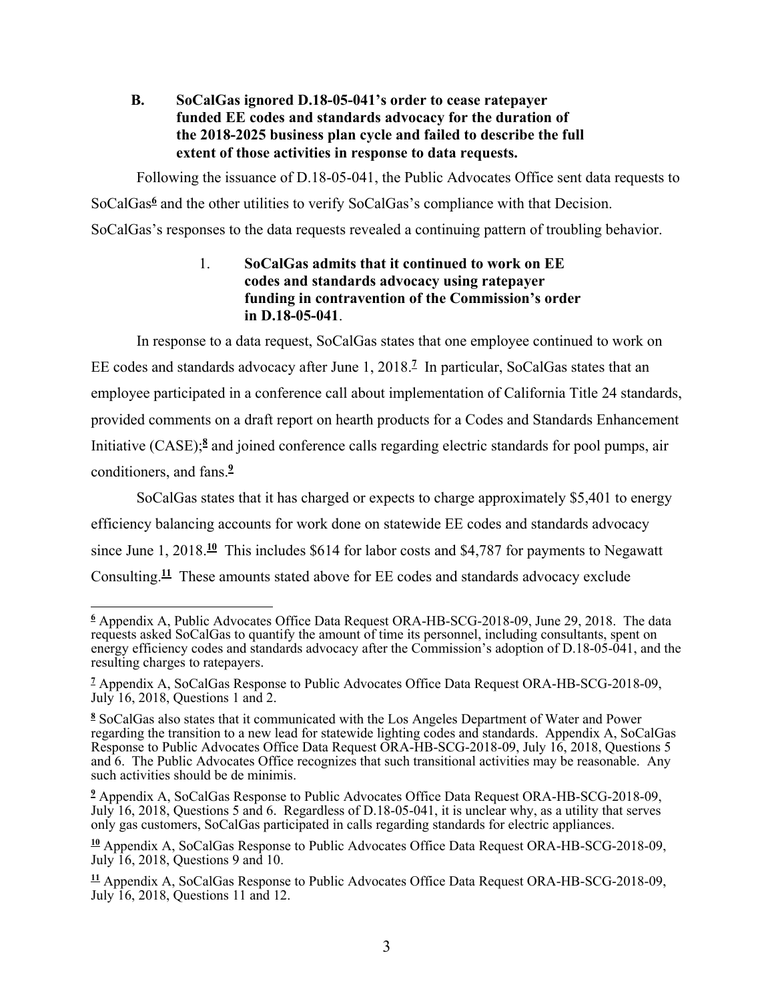## **B. SoCalGas ignored D.18-05-041's order to cease ratepayer funded EE codes and standards advocacy for the duration of the 2018-2025 business plan cycle and failed to describe the full extent of those activities in response to data requests.**

Following the issuance of D.18-05-041, the Public Advocates Office sent data requests to

SoCalGas<sup>6</sup> and the other utilities to verify SoCalGas's compliance with that Decision.

SoCalGas's responses to the data requests revealed a continuing pattern of troubling behavior.

## 1. **SoCalGas admits that it continued to work on EE codes and standards advocacy using ratepayer funding in contravention of the Commission's order in D.18-05-041**.

In response to a data request, SoCalGas states that one employee continued to work on

EE codes and standards advocacy after June 1, 2018.**<sup>7</sup>** In particular, SoCalGas states that an employee participated in a conference call about implementation of California Title 24 standards, provided comments on a draft report on hearth products for a Codes and Standards Enhancement Initiative (CASE);**<sup>8</sup>** and joined conference calls regarding electric standards for pool pumps, air conditioners, and fans.**<sup>9</sup>**

SoCalGas states that it has charged or expects to charge approximately \$5,401 to energy efficiency balancing accounts for work done on statewide EE codes and standards advocacy since June 1, 2018.**<sup>10</sup>** This includes \$614 for labor costs and \$4,787 for payments to Negawatt Consulting.**<sup>11</sup>** These amounts stated above for EE codes and standards advocacy exclude

 **6** Appendix A, Public Advocates Office Data Request ORA-HB-SCG-2018-09, June 29, 2018. The data requests asked SoCalGas to quantify the amount of time its personnel, including consultants, spent on energy efficiency codes and standards advocacy after the Commission's adoption of D.18-05-041, and the resulting charges to ratepayers.

<sup>&</sup>lt;sup>7</sup> Appendix A, SoCalGas Response to Public Advocates Office Data Request ORA-HB-SCG-2018-09, July 16, 2018, Questions 1 and 2.

**<sup>8</sup>** SoCalGas also states that it communicated with the Los Angeles Department of Water and Power regarding the transition to a new lead for statewide lighting codes and standards. Appendix A, SoCalGas Response to Public Advocates Office Data Request ORA-HB-SCG-2018-09, July 16, 2018, Questions 5 and 6. The Public Advocates Office recognizes that such transitional activities may be reasonable. Any such activities should be de minimis.

<sup>&</sup>lt;sup>2</sup> Appendix A, SoCalGas Response to Public Advocates Office Data Request ORA-HB-SCG-2018-09, July 16, 2018, Questions 5 and 6. Regardless of D.18-05-041, it is unclear why, as a utility that serves only gas customers, SoCalGas participated in calls regarding standards for electric appliances.

**<sup>10</sup>** Appendix A, SoCalGas Response to Public Advocates Office Data Request ORA-HB-SCG-2018-09, July 16, 2018, Questions 9 and 10.

**<sup>11</sup>** Appendix A, SoCalGas Response to Public Advocates Office Data Request ORA-HB-SCG-2018-09, July 16, 2018, Questions 11 and 12.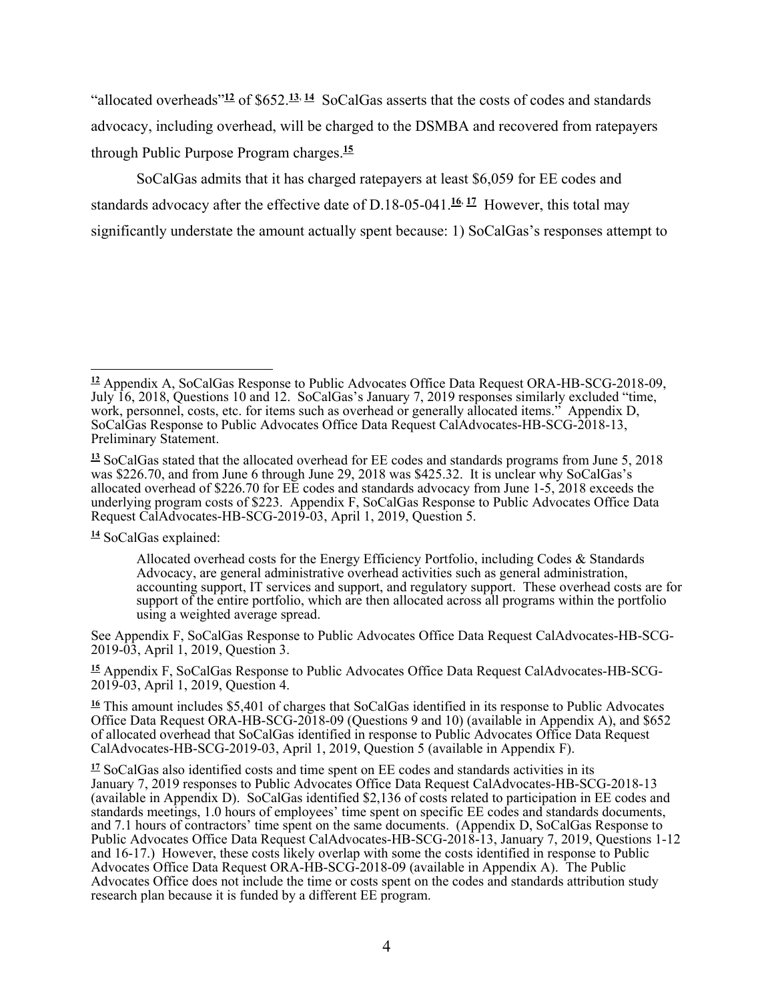"allocated overheads"**<sup>12</sup>** of \$652.**<sup>13</sup>**, **<sup>14</sup>** SoCalGas asserts that the costs of codes and standards advocacy, including overhead, will be charged to the DSMBA and recovered from ratepayers through Public Purpose Program charges.**<sup>15</sup>**

SoCalGas admits that it has charged ratepayers at least \$6,059 for EE codes and standards advocacy after the effective date of D.18-05-041.**<sup>16</sup>**, **<sup>17</sup>** However, this total may significantly understate the amount actually spent because: 1) SoCalGas's responses attempt to

**<sup>14</sup>** SoCalGas explained:

See Appendix F, SoCalGas Response to Public Advocates Office Data Request CalAdvocates-HB-SCG-2019-03, April 1, 2019, Question 3.

**15** Appendix F, SoCalGas Response to Public Advocates Office Data Request CalAdvocates-HB-SCG-2019-03, April 1, 2019, Question 4.

 $\overline{a}$ **<sup>12</sup>** Appendix A, SoCalGas Response to Public Advocates Office Data Request ORA-HB-SCG-2018-09, July 16, 2018, Questions 10 and 12. SoCalGas's January 7, 2019 responses similarly excluded "time, work, personnel, costs, etc. for items such as overhead or generally allocated items." Appendix D, SoCalGas Response to Public Advocates Office Data Request CalAdvocates-HB-SCG-2018-13, Preliminary Statement.

**<sup>13</sup>** SoCalGas stated that the allocated overhead for EE codes and standards programs from June 5, 2018 was \$226.70, and from June 6 through June 29, 2018 was \$425.32. It is unclear why SoCalGas's allocated overhead of \$226.70 for EE codes and standards advocacy from June 1-5, 2018 exceeds the underlying program costs of \$223. Appendix F, SoCalGas Response to Public Advocates Office Data Request CalAdvocates-HB-SCG-2019-03, April 1, 2019, Question 5.

Allocated overhead costs for the Energy Efficiency Portfolio, including Codes & Standards Advocacy, are general administrative overhead activities such as general administration, accounting support, IT services and support, and regulatory support. These overhead costs are for support of the entire portfolio, which are then allocated across all programs within the portfolio using a weighted average spread.

**<sup>16</sup>** This amount includes \$5,401 of charges that SoCalGas identified in its response to Public Advocates Office Data Request ORA-HB-SCG-2018-09 (Questions 9 and 10) (available in Appendix A), and \$652 of allocated overhead that SoCalGas identified in response to Public Advocates Office Data Request CalAdvocates-HB-SCG-2019-03, April 1, 2019, Question 5 (available in Appendix F).

**<sup>17</sup>** SoCalGas also identified costs and time spent on EE codes and standards activities in its January 7, 2019 responses to Public Advocates Office Data Request CalAdvocates-HB-SCG-2018-13 (available in Appendix D). SoCalGas identified \$2,136 of costs related to participation in EE codes and standards meetings, 1.0 hours of employees' time spent on specific EE codes and standards documents, and 7.1 hours of contractors' time spent on the same documents. (Appendix D, SoCalGas Response to Public Advocates Office Data Request CalAdvocates-HB-SCG-2018-13, January 7, 2019, Questions 1-12 and 16-17.) However, these costs likely overlap with some the costs identified in response to Public Advocates Office Data Request ORA-HB-SCG-2018-09 (available in Appendix A). The Public Advocates Office does not include the time or costs spent on the codes and standards attribution study research plan because it is funded by a different EE program.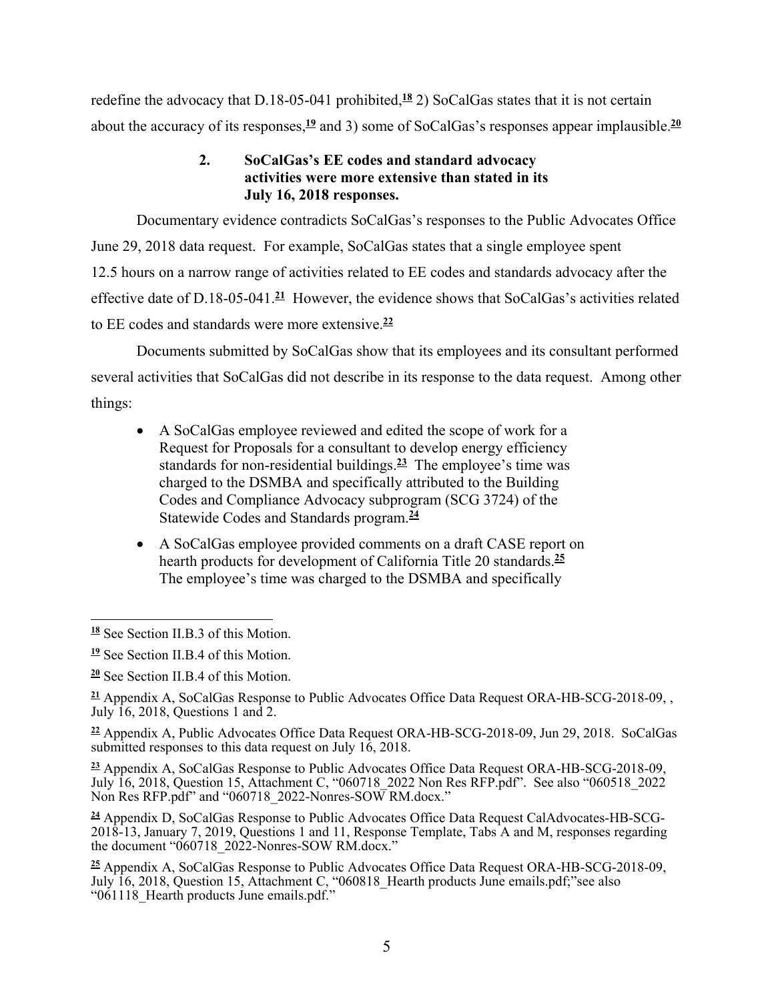redefine the advocacy that D.18-05-041 prohibited,**<sup>18</sup>** 2) SoCalGas states that it is not certain about the accuracy of its responses,**<sup>19</sup>** and 3) some of SoCalGas's responses appear implausible.**<sup>20</sup>**

## **2. SoCalGas's EE codes and standard advocacy activities were more extensive than stated in its July 16, 2018 responses.**

Documentary evidence contradicts SoCalGas's responses to the Public Advocates Office June 29, 2018 data request. For example, SoCalGas states that a single employee spent 12.5 hours on a narrow range of activities related to EE codes and standards advocacy after the effective date of D.18-05-041.**<sup>21</sup>** However, the evidence shows that SoCalGas's activities related to EE codes and standards were more extensive.**<sup>22</sup>**

Documents submitted by SoCalGas show that its employees and its consultant performed several activities that SoCalGas did not describe in its response to the data request. Among other things:

- A SoCalGas employee reviewed and edited the scope of work for a Request for Proposals for a consultant to develop energy efficiency standards for non-residential buildings.**<sup>23</sup>** The employee's time was charged to the DSMBA and specifically attributed to the Building Codes and Compliance Advocacy subprogram (SCG 3724) of the Statewide Codes and Standards program.**<sup>24</sup>**
- A SoCalGas employee provided comments on a draft CASE report on hearth products for development of California Title 20 standards.**<sup>25</sup>** The employee's time was charged to the DSMBA and specifically

**<sup>22</sup>** Appendix A, Public Advocates Office Data Request ORA-HB-SCG-2018-09, Jun 29, 2018. SoCalGas submitted responses to this data request on July  $16$ , 2018.

**<sup>23</sup>** Appendix A, SoCalGas Response to Public Advocates Office Data Request ORA-HB-SCG-2018-09, July 16, 2018, Question 15, Attachment C, "060718\_2022 Non Res RFP.pdf". See also "060518\_2022 Non Res RFP.pdf" and "060718 2022-Nonres-SOW RM.docx."

**24** Appendix D, SoCalGas Response to Public Advocates Office Data Request CalAdvocates-HB-SCG-2018-13, January 7, 2019, Questions 1 and 11, Response Template, Tabs A and M, responses regarding the document "060718\_2022-Nonres-SOW RM.docx."

**<sup>25</sup>** Appendix A, SoCalGas Response to Public Advocates Office Data Request ORA-HB-SCG-2018-09, July 16, 2018, Question 15, Attachment C, "060818\_Hearth products June emails.pdf;"see also "061118\_Hearth products June emails.pdf."

 $\overline{a}$ **<sup>18</sup>** See Section II.B.3 of this Motion.

**<sup>19</sup>** See Section II.B.4 of this Motion.

**<sup>20</sup>** See Section II.B.4 of this Motion.

**<sup>21</sup>** Appendix A, SoCalGas Response to Public Advocates Office Data Request ORA-HB-SCG-2018-09, , July 16, 2018, Questions 1 and 2.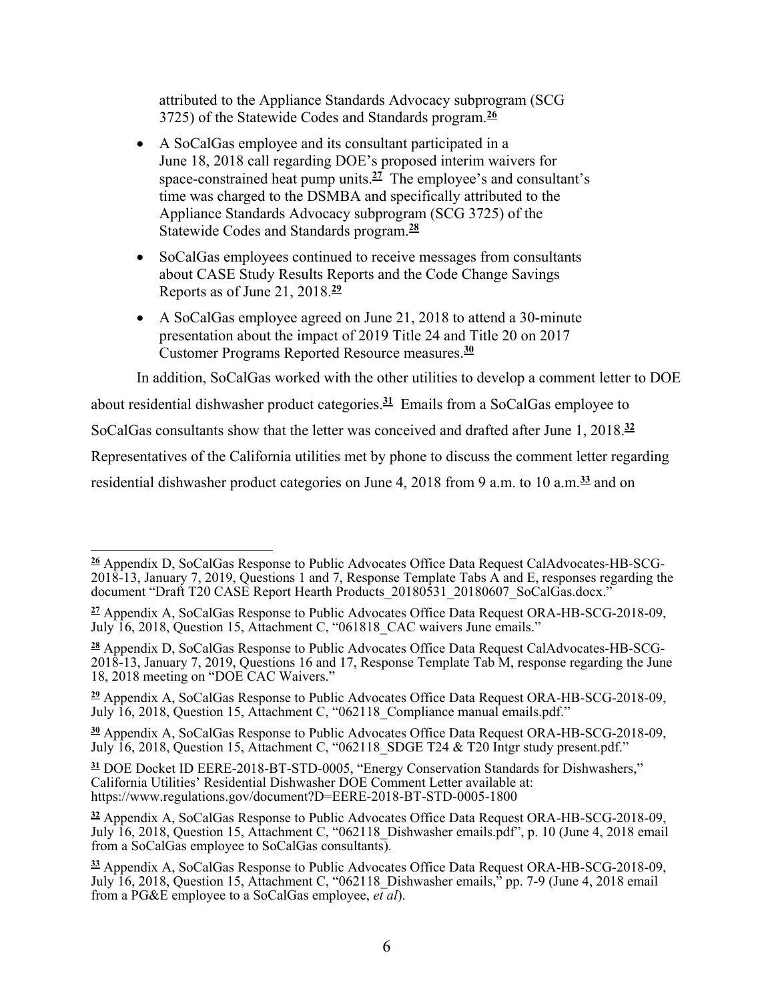attributed to the Appliance Standards Advocacy subprogram (SCG 3725) of the Statewide Codes and Standards program.**<sup>26</sup>**

- A SoCalGas employee and its consultant participated in a June 18, 2018 call regarding DOE's proposed interim waivers for space-constrained heat pump units.**<sup>27</sup>** The employee's and consultant's time was charged to the DSMBA and specifically attributed to the Appliance Standards Advocacy subprogram (SCG 3725) of the Statewide Codes and Standards program.**<sup>28</sup>**
- SoCalGas employees continued to receive messages from consultants about CASE Study Results Reports and the Code Change Savings Reports as of June 21, 2018.**<sup>29</sup>**
- A SoCalGas employee agreed on June 21, 2018 to attend a 30-minute presentation about the impact of 2019 Title 24 and Title 20 on 2017 Customer Programs Reported Resource measures.**<sup>30</sup>**

In addition, SoCalGas worked with the other utilities to develop a comment letter to DOE

about residential dishwasher product categories.**<sup>31</sup>** Emails from a SoCalGas employee to

SoCalGas consultants show that the letter was conceived and drafted after June 1, 2018.**<sup>32</sup>**

Representatives of the California utilities met by phone to discuss the comment letter regarding

residential dishwasher product categories on June 4, 2018 from 9 a.m. to 10 a.m.**<sup>33</sup>** and on

**<sup>29</sup>** Appendix A, SoCalGas Response to Public Advocates Office Data Request ORA-HB-SCG-2018-09, July 16, 2018, Question 15, Attachment C, "062118\_Compliance manual emails.pdf."

**<sup>30</sup>** Appendix A, SoCalGas Response to Public Advocates Office Data Request ORA-HB-SCG-2018-09, July 16, 2018, Question 15, Attachment C, "062118\_SDGE T24 & T20 Intgr study present.pdf."

**<sup>31</sup>** DOE Docket ID EERE-2018-BT-STD-0005, "Energy Conservation Standards for Dishwashers," California Utilities' Residential Dishwasher DOE Comment Letter available at: https://www.regulations.gov/document?D=EERE-2018-BT-STD-0005-1800

 **26** Appendix D, SoCalGas Response to Public Advocates Office Data Request CalAdvocates-HB-SCG-2018-13, January 7, 2019, Questions 1 and 7, Response Template Tabs A and E, responses regarding the document "Draft T20 CASE Report Hearth Products\_20180531\_20180607\_SoCalGas.docx."

**<sup>27</sup>** Appendix A, SoCalGas Response to Public Advocates Office Data Request ORA-HB-SCG-2018-09, July 16, 2018, Question 15, Attachment C, "061818\_CAC waivers June emails."

**<sup>28</sup>** Appendix D, SoCalGas Response to Public Advocates Office Data Request CalAdvocates-HB-SCG-2018-13, January 7, 2019, Questions 16 and 17, Response Template Tab M, response regarding the June 18, 2018 meeting on "DOE CAC Waivers."

**<sup>32</sup>** Appendix A, SoCalGas Response to Public Advocates Office Data Request ORA-HB-SCG-2018-09, July 16, 2018, Question 15, Attachment C, "062118\_Dishwasher emails.pdf", p. 10 (June 4, 2018 email from a SoCalGas employee to SoCalGas consultants).

**<sup>33</sup>** Appendix A, SoCalGas Response to Public Advocates Office Data Request ORA-HB-SCG-2018-09, July 16, 2018, Question 15, Attachment C, "062118\_Dishwasher emails," pp. 7-9 (June 4, 2018 email from a PG&E employee to a SoCalGas employee, *et al*).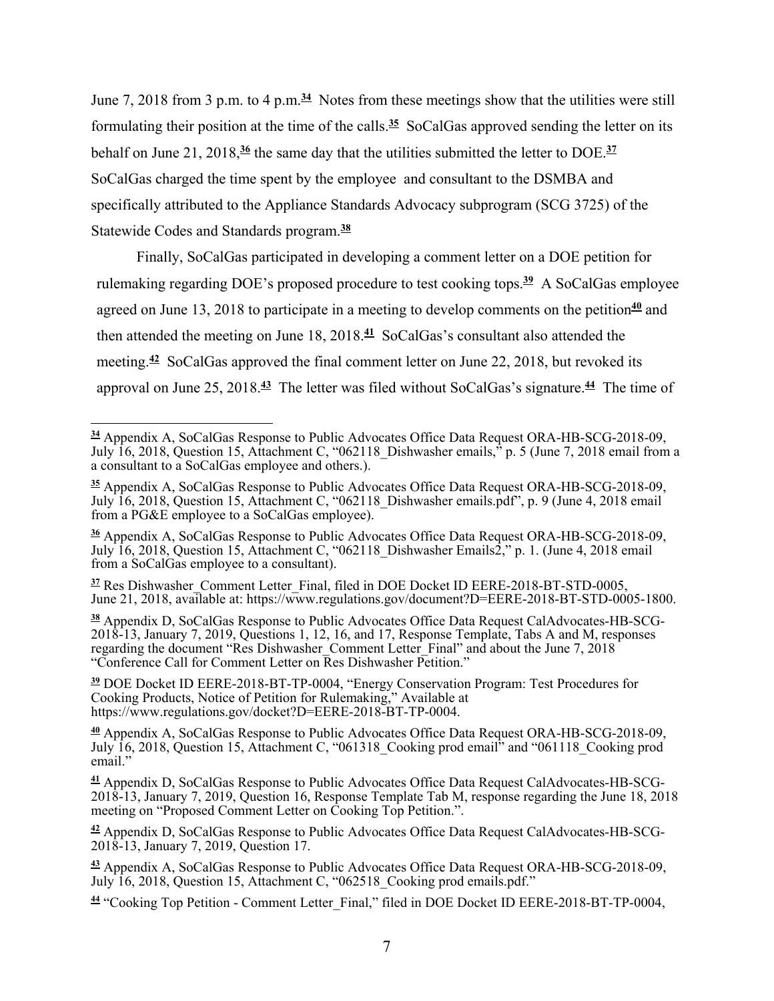June 7, 2018 from 3 p.m. to 4 p.m.**<sup>34</sup>** Notes from these meetings show that the utilities were still formulating their position at the time of the calls.**<sup>35</sup>** SoCalGas approved sending the letter on its behalf on June 21, 2018,**<sup>36</sup>** the same day that the utilities submitted the letter to DOE.**<sup>37</sup>** SoCalGas charged the time spent by the employee and consultant to the DSMBA and specifically attributed to the Appliance Standards Advocacy subprogram (SCG 3725) of the Statewide Codes and Standards program.**<sup>38</sup>**

Finally, SoCalGas participated in developing a comment letter on a DOE petition for rulemaking regarding DOE's proposed procedure to test cooking tops.**<sup>39</sup>** A SoCalGas employee agreed on June 13, 2018 to participate in a meeting to develop comments on the petition<sup>40</sup> and then attended the meeting on June 18, 2018.**<sup>41</sup>** SoCalGas's consultant also attended the meeting.**<sup>42</sup>** SoCalGas approved the final comment letter on June 22, 2018, but revoked its approval on June 25, 2018.**<sup>43</sup>** The letter was filed without SoCalGas's signature.**<sup>44</sup>** The time of

<sup>37</sup> Res Dishwasher Comment Letter Final, filed in DOE Docket ID EERE-2018-BT-STD-0005, June 21, 2018, available at: https://www.regulations.gov/document?D=EERE-2018-BT-STD-0005-1800.

**38** Appendix D, SoCalGas Response to Public Advocates Office Data Request CalAdvocates-HB-SCG-2018-13, January 7, 2019, Questions 1, 12, 16, and 17, Response Template, Tabs A and M, responses regarding the document "Res Dishwasher Comment Letter\_Final" and about the June 7, 2018 "Conference Call for Comment Letter on Res Dishwasher Petition."

**<sup>39</sup>** DOE Docket ID EERE-2018-BT-TP-0004, "Energy Conservation Program: Test Procedures for Cooking Products, Notice of Petition for Rulemaking," Available at https://www.regulations.gov/docket?D=EERE-2018-BT-TP-0004.

**<sup>40</sup>** Appendix A, SoCalGas Response to Public Advocates Office Data Request ORA-HB-SCG-2018-09, July 16, 2018, Question 15, Attachment C, "061318\_Cooking prod email" and "061118\_Cooking prod email."

 $\overline{a}$ **<sup>34</sup>** Appendix A, SoCalGas Response to Public Advocates Office Data Request ORA-HB-SCG-2018-09, July 16, 2018, Question 15, Attachment C, "062118\_Dishwasher emails," p. 5 (June 7, 2018 email from a a consultant to a SoCalGas employee and others.).

**<sup>35</sup>** Appendix A, SoCalGas Response to Public Advocates Office Data Request ORA-HB-SCG-2018-09, July 16, 2018, Question 15, Attachment C, "062118\_Dishwasher emails.pdf", p. 9 (June 4, 2018 email from a PG&E employee to a SoCalGas employee).

**<sup>36</sup>** Appendix A, SoCalGas Response to Public Advocates Office Data Request ORA-HB-SCG-2018-09, July 16, 2018, Question 15, Attachment C, "062118\_Dishwasher Emails2," p. 1. (June 4, 2018 email from a SoCalGas employee to a consultant).

**<sup>41</sup>** Appendix D, SoCalGas Response to Public Advocates Office Data Request CalAdvocates-HB-SCG-2018-13, January 7, 2019, Question 16, Response Template Tab M, response regarding the June 18, 2018 meeting on "Proposed Comment Letter on Cooking Top Petition.".

**<sup>42</sup>** Appendix D, SoCalGas Response to Public Advocates Office Data Request CalAdvocates-HB-SCG-2018-13, January 7, 2019, Question 17.

**<sup>43</sup>** Appendix A, SoCalGas Response to Public Advocates Office Data Request ORA-HB-SCG-2018-09, July 16, 2018, Question 15, Attachment C, "062518\_Cooking prod emails.pdf."

<sup>&</sup>lt;sup>44</sup> "Cooking Top Petition - Comment Letter Final," filed in DOE Docket ID EERE-2018-BT-TP-0004,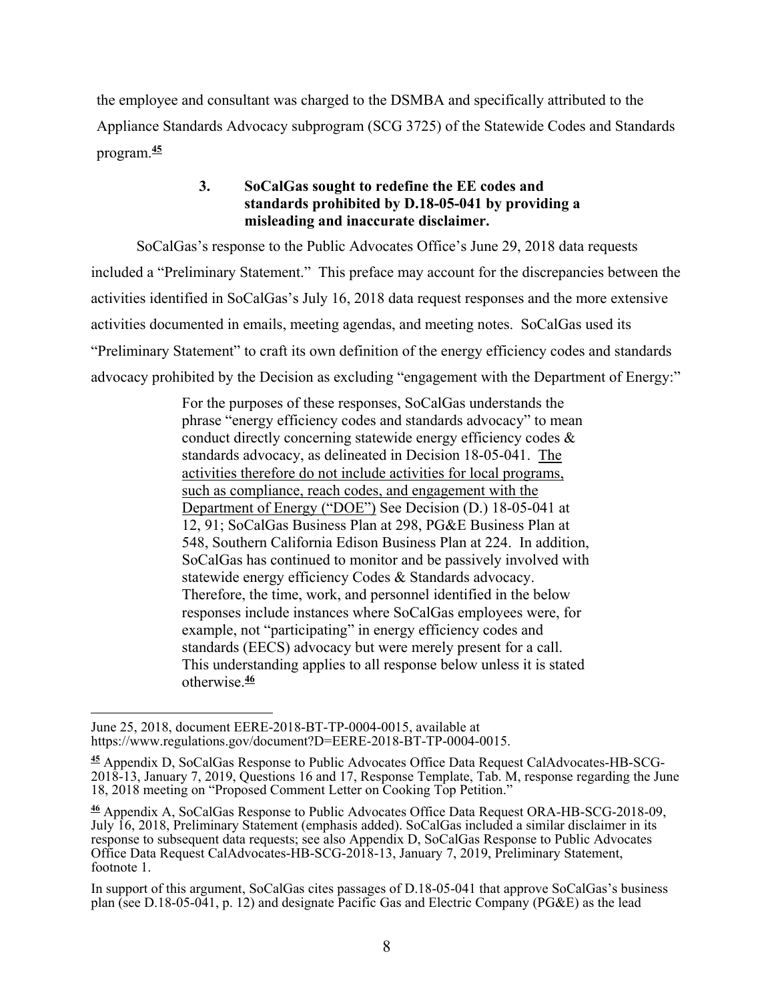the employee and consultant was charged to the DSMBA and specifically attributed to the Appliance Standards Advocacy subprogram (SCG 3725) of the Statewide Codes and Standards program.**<sup>45</sup>**

## **3. SoCalGas sought to redefine the EE codes and standards prohibited by D.18-05-041 by providing a misleading and inaccurate disclaimer.**

SoCalGas's response to the Public Advocates Office's June 29, 2018 data requests included a "Preliminary Statement." This preface may account for the discrepancies between the activities identified in SoCalGas's July 16, 2018 data request responses and the more extensive activities documented in emails, meeting agendas, and meeting notes. SoCalGas used its "Preliminary Statement" to craft its own definition of the energy efficiency codes and standards advocacy prohibited by the Decision as excluding "engagement with the Department of Energy:"

> For the purposes of these responses, SoCalGas understands the phrase "energy efficiency codes and standards advocacy" to mean conduct directly concerning statewide energy efficiency codes & standards advocacy, as delineated in Decision 18-05-041. The activities therefore do not include activities for local programs, such as compliance, reach codes, and engagement with the Department of Energy ("DOE") See Decision (D.) 18-05-041 at 12, 91; SoCalGas Business Plan at 298, PG&E Business Plan at 548, Southern California Edison Business Plan at 224. In addition, SoCalGas has continued to monitor and be passively involved with statewide energy efficiency Codes & Standards advocacy. Therefore, the time, work, and personnel identified in the below responses include instances where SoCalGas employees were, for example, not "participating" in energy efficiency codes and standards (EECS) advocacy but were merely present for a call. This understanding applies to all response below unless it is stated otherwise.**<sup>46</sup>**

 June 25, 2018, document EERE-2018-BT-TP-0004-0015, available at https://www.regulations.gov/document?D=EERE-2018-BT-TP-0004-0015.

**<sup>45</sup>** Appendix D, SoCalGas Response to Public Advocates Office Data Request CalAdvocates-HB-SCG-2018-13, January 7, 2019, Questions 16 and 17, Response Template, Tab. M, response regarding the June 18, 2018 meeting on "Proposed Comment Letter on Cooking Top Petition."

**<sup>46</sup>** Appendix A, SoCalGas Response to Public Advocates Office Data Request ORA-HB-SCG-2018-09, July 16, 2018, Preliminary Statement (emphasis added). SoCalGas included a similar disclaimer in its response to subsequent data requests; see also Appendix D, SoCalGas Response to Public Advocates Office Data Request CalAdvocates-HB-SCG-2018-13, January 7, 2019, Preliminary Statement, footnote 1.

In support of this argument, SoCalGas cites passages of D.18-05-041 that approve SoCalGas's business plan (see D.18-05-041, p. 12) and designate Pacific Gas and Electric Company (PG&E) as the lead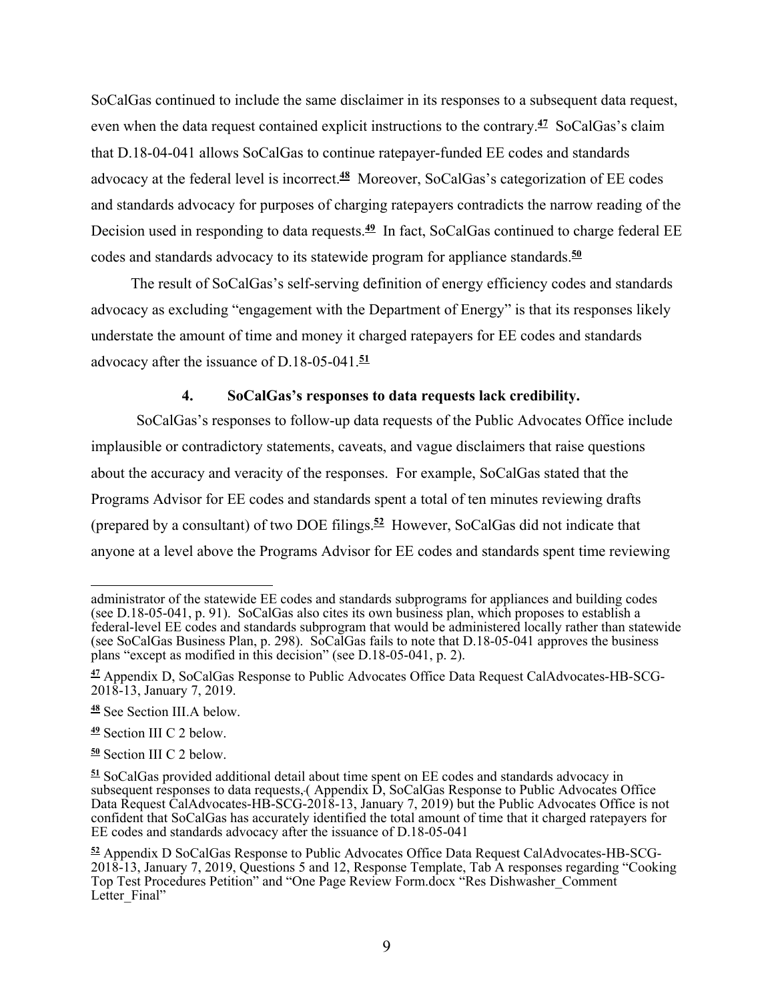SoCalGas continued to include the same disclaimer in its responses to a subsequent data request, even when the data request contained explicit instructions to the contrary.**<sup>47</sup>** SoCalGas's claim that D.18-04-041 allows SoCalGas to continue ratepayer-funded EE codes and standards advocacy at the federal level is incorrect.**<sup>48</sup>** Moreover, SoCalGas's categorization of EE codes and standards advocacy for purposes of charging ratepayers contradicts the narrow reading of the Decision used in responding to data requests.**<sup>49</sup>** In fact, SoCalGas continued to charge federal EE codes and standards advocacy to its statewide program for appliance standards.**<sup>50</sup>**

The result of SoCalGas's self-serving definition of energy efficiency codes and standards advocacy as excluding "engagement with the Department of Energy" is that its responses likely understate the amount of time and money it charged ratepayers for EE codes and standards advocacy after the issuance of D.18-05-041.**<sup>51</sup>**

#### **4. SoCalGas's responses to data requests lack credibility.**

SoCalGas's responses to follow-up data requests of the Public Advocates Office include implausible or contradictory statements, caveats, and vague disclaimers that raise questions about the accuracy and veracity of the responses. For example, SoCalGas stated that the Programs Advisor for EE codes and standards spent a total of ten minutes reviewing drafts (prepared by a consultant) of two DOE filings.**<sup>52</sup>** However, SoCalGas did not indicate that anyone at a level above the Programs Advisor for EE codes and standards spent time reviewing

**<sup>50</sup>** Section III C 2 below.

 $\overline{a}$ administrator of the statewide EE codes and standards subprograms for appliances and building codes (see D.18-05-041, p. 91). SoCalGas also cites its own business plan, which proposes to establish a federal-level EE codes and standards subprogram that would be administered locally rather than statewide (see SoCalGas Business Plan, p. 298). SoCalGas fails to note that D.18-05-041 approves the business plans "except as modified in this decision" (see D.18-05-041, p. 2).

**<sup>47</sup>** Appendix D, SoCalGas Response to Public Advocates Office Data Request CalAdvocates-HB-SCG-2018-13, January 7, 2019.

**<sup>48</sup>** See Section III.A below.

**<sup>49</sup>** Section III C 2 below.

**<sup>51</sup>** SoCalGas provided additional detail about time spent on EE codes and standards advocacy in subsequent responses to data requests,( Appendix D, SoCalGas Response to Public Advocates Office Data Request CalAdvocates-HB-SCG-2018-13, January 7, 2019) but the Public Advocates Office is not confident that SoCalGas has accurately identified the total amount of time that it charged ratepayers for EE codes and standards advocacy after the issuance of D.18-05-041

**<sup>52</sup>** Appendix D SoCalGas Response to Public Advocates Office Data Request CalAdvocates-HB-SCG-2018-13, January 7, 2019, Questions 5 and 12, Response Template, Tab A responses regarding "Cooking Top Test Procedures Petition" and "One Page Review Form.docx "Res Dishwasher\_Comment Letter Final"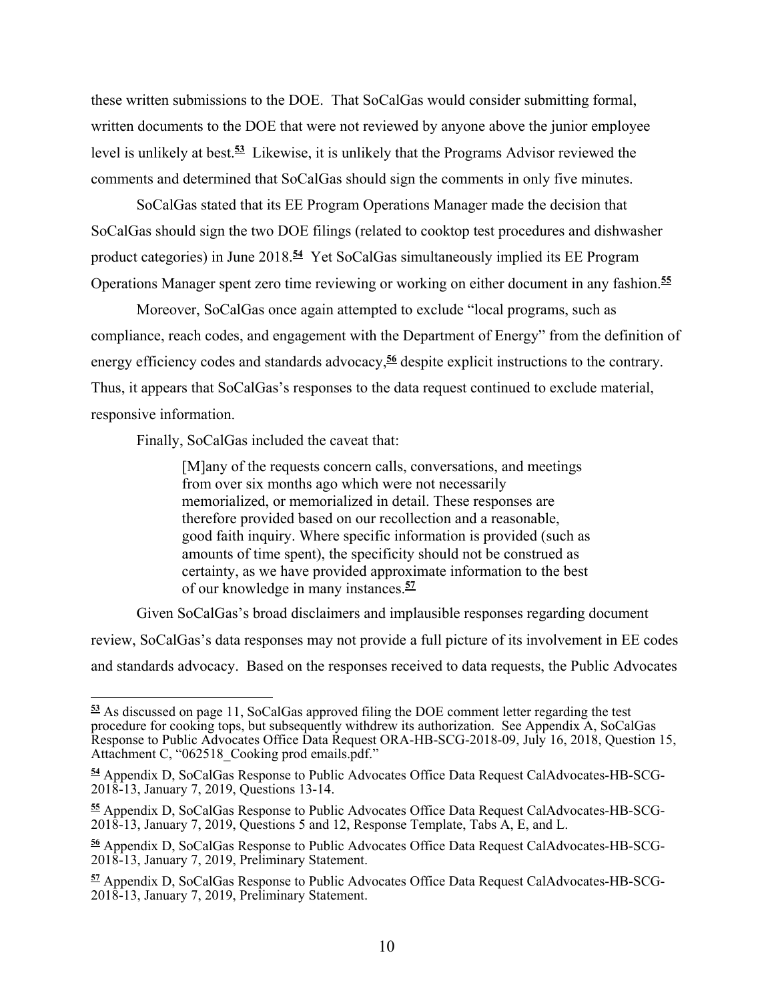these written submissions to the DOE. That SoCalGas would consider submitting formal, written documents to the DOE that were not reviewed by anyone above the junior employee level is unlikely at best.**<sup>53</sup>** Likewise, it is unlikely that the Programs Advisor reviewed the comments and determined that SoCalGas should sign the comments in only five minutes.

SoCalGas stated that its EE Program Operations Manager made the decision that SoCalGas should sign the two DOE filings (related to cooktop test procedures and dishwasher product categories) in June 2018.**<sup>54</sup>** Yet SoCalGas simultaneously implied its EE Program Operations Manager spent zero time reviewing or working on either document in any fashion.**<sup>55</sup>**

Moreover, SoCalGas once again attempted to exclude "local programs, such as compliance, reach codes, and engagement with the Department of Energy" from the definition of energy efficiency codes and standards advocacy,**<sup>56</sup>** despite explicit instructions to the contrary. Thus, it appears that SoCalGas's responses to the data request continued to exclude material, responsive information.

Finally, SoCalGas included the caveat that:

[M]any of the requests concern calls, conversations, and meetings from over six months ago which were not necessarily memorialized, or memorialized in detail. These responses are therefore provided based on our recollection and a reasonable, good faith inquiry. Where specific information is provided (such as amounts of time spent), the specificity should not be construed as certainty, as we have provided approximate information to the best of our knowledge in many instances.**<sup>57</sup>**

Given SoCalGas's broad disclaimers and implausible responses regarding document

review, SoCalGas's data responses may not provide a full picture of its involvement in EE codes and standards advocacy. Based on the responses received to data requests, the Public Advocates

**<sup>53</sup>** As discussed on page 11, SoCalGas approved filing the DOE comment letter regarding the test procedure for cooking tops, but subsequently withdrew its authorization. See Appendix A, SoCalGas Response to Public Advocates Office Data Request ORA-HB-SCG-2018-09, July 16, 2018, Question 15, Attachment C, "062518 Cooking prod emails.pdf."

**<sup>54</sup>** Appendix D, SoCalGas Response to Public Advocates Office Data Request CalAdvocates-HB-SCG-2018-13, January 7, 2019, Questions 13-14.

**<sup>55</sup>** Appendix D, SoCalGas Response to Public Advocates Office Data Request CalAdvocates-HB-SCG-2018-13, January 7, 2019, Questions 5 and 12, Response Template, Tabs A, E, and L.

**<sup>56</sup>** Appendix D, SoCalGas Response to Public Advocates Office Data Request CalAdvocates-HB-SCG-2018-13, January 7, 2019, Preliminary Statement.

**<sup>57</sup>** Appendix D, SoCalGas Response to Public Advocates Office Data Request CalAdvocates-HB-SCG-2018-13, January 7, 2019, Preliminary Statement.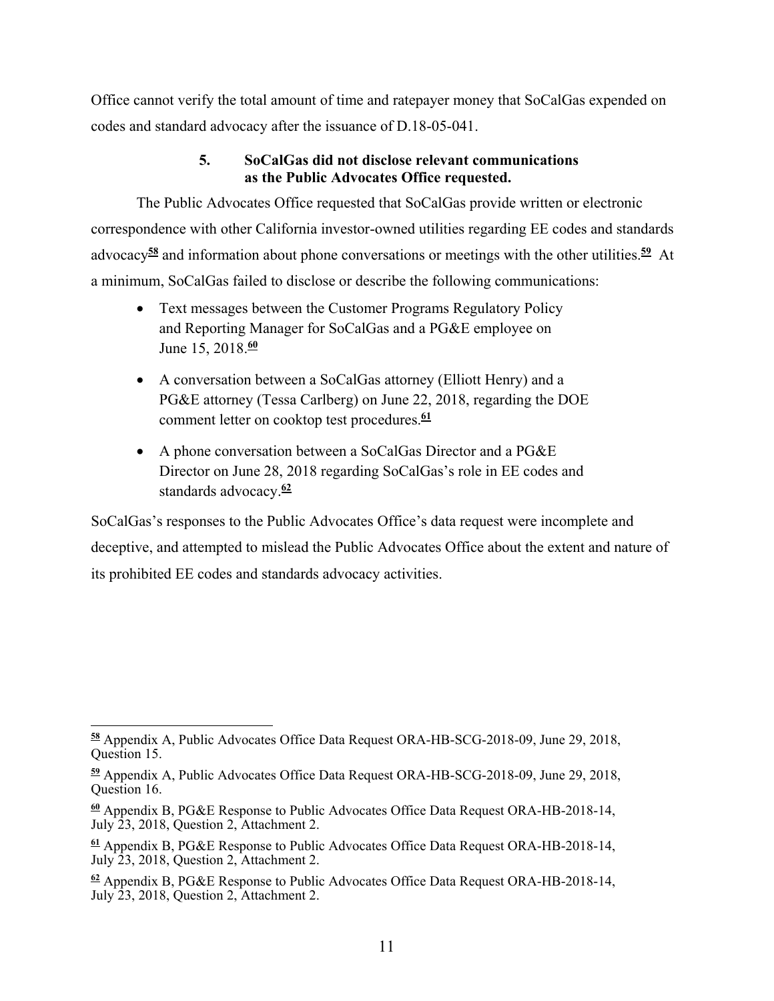Office cannot verify the total amount of time and ratepayer money that SoCalGas expended on codes and standard advocacy after the issuance of D.18-05-041.

## **5. SoCalGas did not disclose relevant communications as the Public Advocates Office requested.**

The Public Advocates Office requested that SoCalGas provide written or electronic correspondence with other California investor-owned utilities regarding EE codes and standards advocacy**<sup>58</sup>** and information about phone conversations or meetings with the other utilities.**<sup>59</sup>** At a minimum, SoCalGas failed to disclose or describe the following communications:

- Text messages between the Customer Programs Regulatory Policy and Reporting Manager for SoCalGas and a PG&E employee on June 15, 2018.**<sup>60</sup>**
- A conversation between a SoCalGas attorney (Elliott Henry) and a PG&E attorney (Tessa Carlberg) on June 22, 2018, regarding the DOE comment letter on cooktop test procedures.**<sup>61</sup>**
- A phone conversation between a SoCalGas Director and a PG&E Director on June 28, 2018 regarding SoCalGas's role in EE codes and standards advocacy.**<sup>62</sup>**

SoCalGas's responses to the Public Advocates Office's data request were incomplete and deceptive, and attempted to mislead the Public Advocates Office about the extent and nature of its prohibited EE codes and standards advocacy activities.

**<sup>62</sup>** Appendix B, PG&E Response to Public Advocates Office Data Request ORA-HB-2018-14, July 23, 2018, Question 2, Attachment 2.

 $\overline{a}$ **<sup>58</sup>** Appendix A, Public Advocates Office Data Request ORA-HB-SCG-2018-09, June 29, 2018, Question 15.

**<sup>59</sup>** Appendix A, Public Advocates Office Data Request ORA-HB-SCG-2018-09, June 29, 2018, Question 16.

**<sup>60</sup>** Appendix B, PG&E Response to Public Advocates Office Data Request ORA-HB-2018-14, July 23, 2018, Question 2, Attachment 2.

**<sup>61</sup>** Appendix B, PG&E Response to Public Advocates Office Data Request ORA-HB-2018-14, July 23, 2018, Question 2, Attachment 2.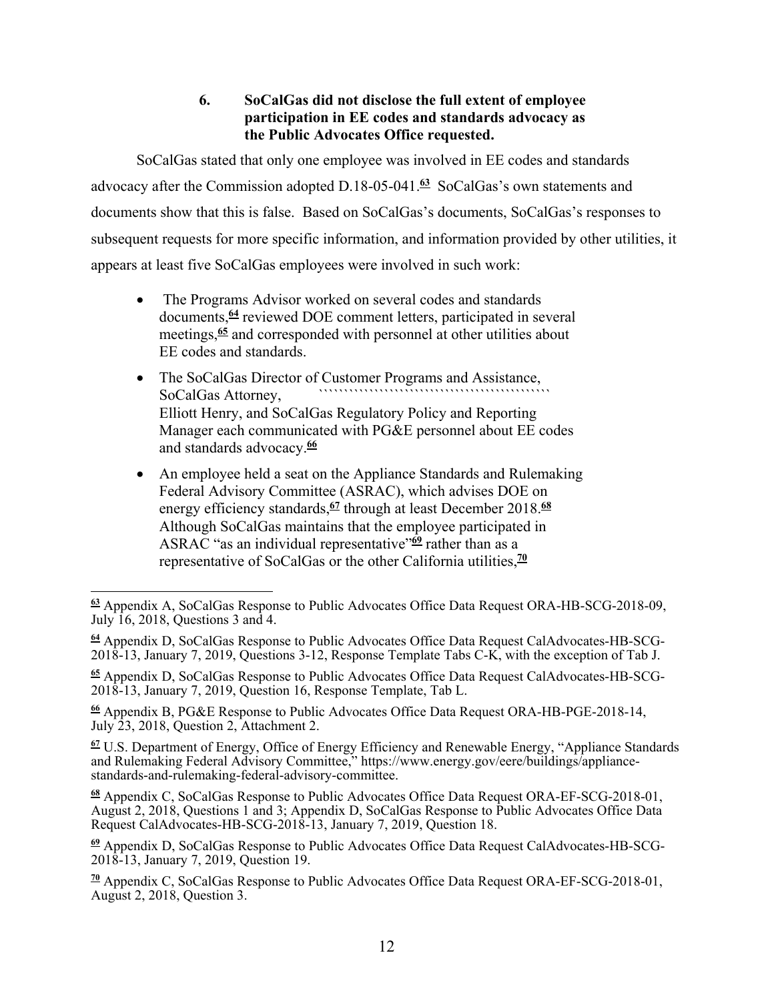## **6. SoCalGas did not disclose the full extent of employee participation in EE codes and standards advocacy as the Public Advocates Office requested.**

SoCalGas stated that only one employee was involved in EE codes and standards advocacy after the Commission adopted D.18-05-041.**<sup>63</sup>** SoCalGas's own statements and documents show that this is false. Based on SoCalGas's documents, SoCalGas's responses to subsequent requests for more specific information, and information provided by other utilities, it appears at least five SoCalGas employees were involved in such work:

- The Programs Advisor worked on several codes and standards documents,**<sup>64</sup>** reviewed DOE comment letters, participated in several meetings,**<sup>65</sup>** and corresponded with personnel at other utilities about EE codes and standards.
- The SoCalGas Director of Customer Programs and Assistance, SoCalGas Attorney, Elliott Henry, and SoCalGas Regulatory Policy and Reporting Manager each communicated with PG&E personnel about EE codes and standards advocacy.**<sup>66</sup>**
- An employee held a seat on the Appliance Standards and Rulemaking Federal Advisory Committee (ASRAC), which advises DOE on energy efficiency standards,**<sup>67</sup>** through at least December 2018.**<sup>68</sup>** Although SoCalGas maintains that the employee participated in ASRAC "as an individual representative"**<sup>69</sup>** rather than as a representative of SoCalGas or the other California utilities,**<sup>70</sup>**

**<sup>67</sup>** U.S. Department of Energy, Office of Energy Efficiency and Renewable Energy, "Appliance Standards and Rulemaking Federal Advisory Committee," https://www.energy.gov/eere/buildings/appliancestandards-and-rulemaking-federal-advisory-committee.

**<sup>68</sup>** Appendix C, SoCalGas Response to Public Advocates Office Data Request ORA-EF-SCG-2018-01, August 2, 2018, Questions 1 and 3; Appendix D, SoCalGas Response to Public Advocates Office Data Request CalAdvocates-HB-SCG-2018-13, January 7, 2019, Question 18.

 **<sup>63</sup>** Appendix A, SoCalGas Response to Public Advocates Office Data Request ORA-HB-SCG-2018-09, July 16, 2018, Questions 3 and 4.

**<sup>64</sup>** Appendix D, SoCalGas Response to Public Advocates Office Data Request CalAdvocates-HB-SCG-2018-13, January 7, 2019, Questions 3-12, Response Template Tabs C-K, with the exception of Tab J.

**<sup>65</sup>** Appendix D, SoCalGas Response to Public Advocates Office Data Request CalAdvocates-HB-SCG-2018-13, January 7, 2019, Question 16, Response Template, Tab L.

**<sup>66</sup>** Appendix B, PG&E Response to Public Advocates Office Data Request ORA-HB-PGE-2018-14, July 23, 2018, Question 2, Attachment 2.

**<sup>69</sup>** Appendix D, SoCalGas Response to Public Advocates Office Data Request CalAdvocates-HB-SCG-2018-13, January 7, 2019, Question 19.

**<sup>70</sup>** Appendix C, SoCalGas Response to Public Advocates Office Data Request ORA-EF-SCG-2018-01, August 2, 2018, Question 3.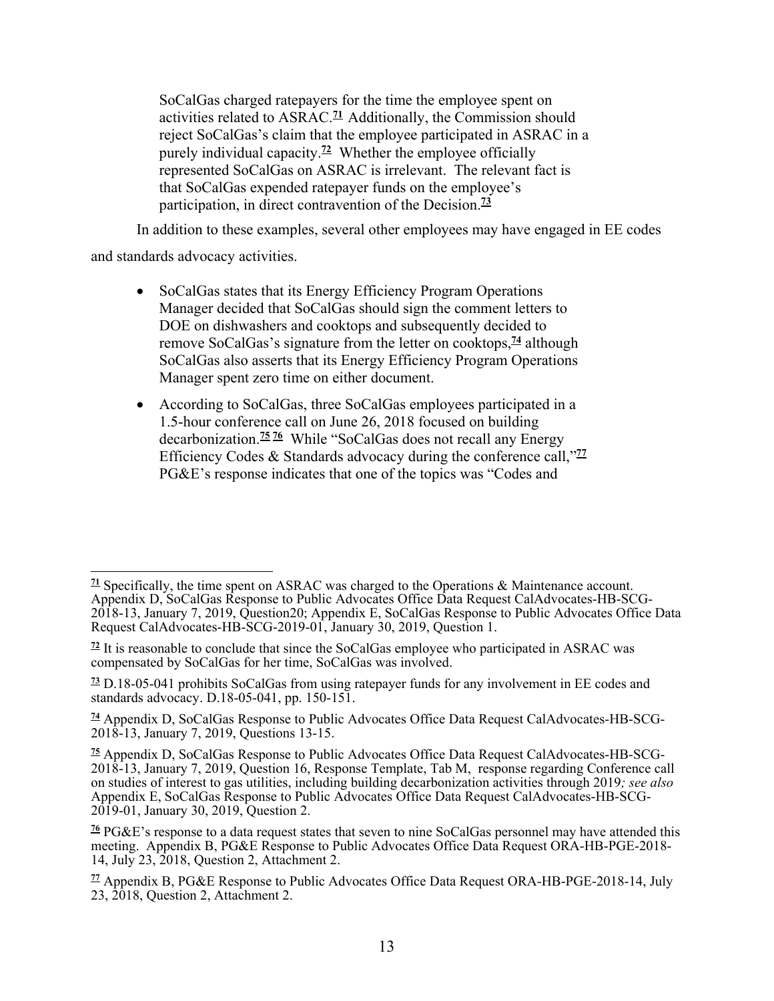SoCalGas charged ratepayers for the time the employee spent on activities related to ASRAC.**<sup>71</sup>** Additionally, the Commission should reject SoCalGas's claim that the employee participated in ASRAC in a purely individual capacity.**<sup>72</sup>** Whether the employee officially represented SoCalGas on ASRAC is irrelevant. The relevant fact is that SoCalGas expended ratepayer funds on the employee's participation, in direct contravention of the Decision.**<sup>73</sup>**

In addition to these examples, several other employees may have engaged in EE codes

and standards advocacy activities.

- SoCalGas states that its Energy Efficiency Program Operations Manager decided that SoCalGas should sign the comment letters to DOE on dishwashers and cooktops and subsequently decided to remove SoCalGas's signature from the letter on cooktops,**<sup>74</sup>** although SoCalGas also asserts that its Energy Efficiency Program Operations Manager spent zero time on either document.
- According to SoCalGas, three SoCalGas employees participated in a 1.5-hour conference call on June 26, 2018 focused on building decarbonization.**<sup>75</sup> <sup>76</sup>** While "SoCalGas does not recall any Energy Efficiency Codes & Standards advocacy during the conference call,"**<sup>77</sup>** PG&E's response indicates that one of the topics was "Codes and

 $\overline{a}$ **<sup>71</sup>** Specifically, the time spent on ASRAC was charged to the Operations & Maintenance account. Appendix D, SoCalGas Response to Public Advocates Office Data Request CalAdvocates-HB-SCG-2018-13, January 7, 2019, Question20; Appendix E, SoCalGas Response to Public Advocates Office Data Request CalAdvocates-HB-SCG-2019-01, January 30, 2019, Question 1.

**<sup>72</sup>** It is reasonable to conclude that since the SoCalGas employee who participated in ASRAC was compensated by SoCalGas for her time, SoCalGas was involved.

**<sup>73</sup>** D.18-05-041 prohibits SoCalGas from using ratepayer funds for any involvement in EE codes and standards advocacy. D.18-05-041, pp. 150-151.

**<sup>74</sup>** Appendix D, SoCalGas Response to Public Advocates Office Data Request CalAdvocates-HB-SCG-2018-13, January 7, 2019, Questions 13-15.

**<sup>75</sup>** Appendix D, SoCalGas Response to Public Advocates Office Data Request CalAdvocates-HB-SCG-2018-13, January 7, 2019, Question 16, Response Template, Tab M, response regarding Conference call on studies of interest to gas utilities, including building decarbonization activities through 2019*; see also* Appendix E, SoCalGas Response to Public Advocates Office Data Request CalAdvocates-HB-SCG-2019-01, January 30, 2019, Question 2.

**<sup>76</sup>** PG&E's response to a data request states that seven to nine SoCalGas personnel may have attended this meeting. Appendix B, PG&E Response to Public Advocates Office Data Request ORA-HB-PGE-2018- 14, July 23, 2018, Question 2, Attachment 2.

**<sup>77</sup>** Appendix B, PG&E Response to Public Advocates Office Data Request ORA-HB-PGE-2018-14, July 23, 2018, Question 2, Attachment 2.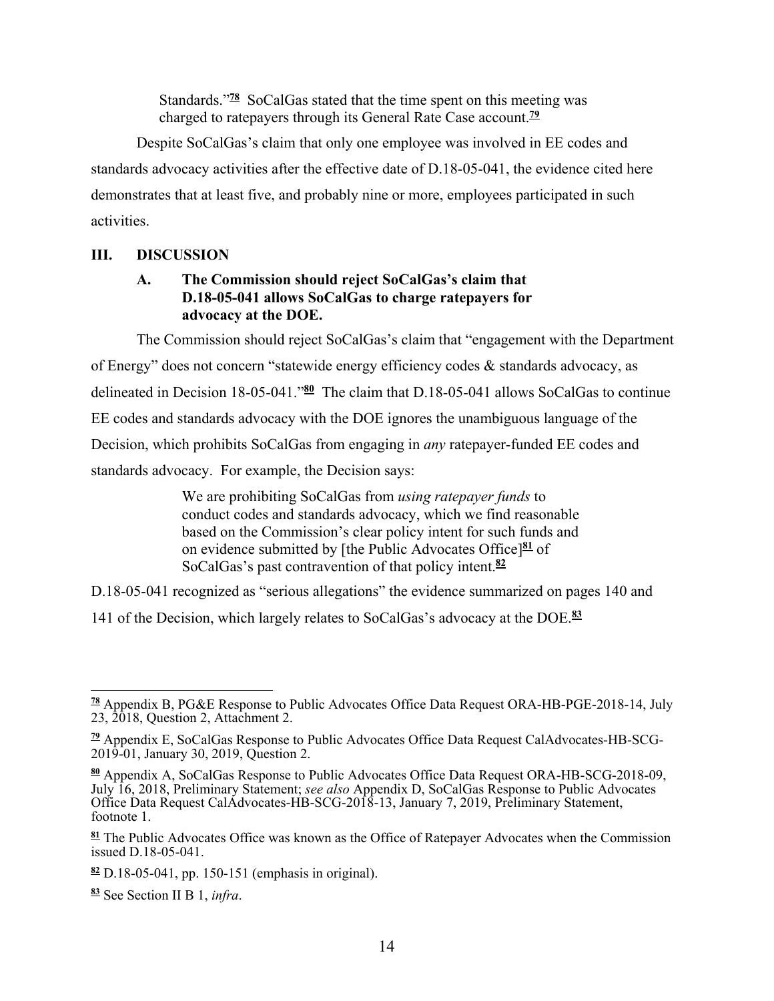Standards."**<sup>78</sup>** SoCalGas stated that the time spent on this meeting was charged to ratepayers through its General Rate Case account.**<sup>79</sup>**

Despite SoCalGas's claim that only one employee was involved in EE codes and standards advocacy activities after the effective date of D.18-05-041, the evidence cited here demonstrates that at least five, and probably nine or more, employees participated in such activities.

## **III. DISCUSSION**

#### **A. The Commission should reject SoCalGas's claim that D.18-05-041 allows SoCalGas to charge ratepayers for advocacy at the DOE.**

The Commission should reject SoCalGas's claim that "engagement with the Department of Energy" does not concern "statewide energy efficiency codes & standards advocacy, as delineated in Decision 18-05-041."**<sup>80</sup>** The claim that D.18-05-041 allows SoCalGas to continue EE codes and standards advocacy with the DOE ignores the unambiguous language of the Decision, which prohibits SoCalGas from engaging in *any* ratepayer-funded EE codes and standards advocacy. For example, the Decision says:

> We are prohibiting SoCalGas from *using ratepayer funds* to conduct codes and standards advocacy, which we find reasonable based on the Commission's clear policy intent for such funds and on evidence submitted by [the Public Advocates Office]**<sup>81</sup>** of SoCalGas's past contravention of that policy intent.**<sup>82</sup>**

D.18-05-041 recognized as "serious allegations" the evidence summarized on pages 140 and

141 of the Decision, which largely relates to SoCalGas's advocacy at the DOE.**<sup>83</sup>**

 **<sup>78</sup>** Appendix B, PG&E Response to Public Advocates Office Data Request ORA-HB-PGE-2018-14, July 23, 2018, Question 2, Attachment 2.

**<sup>79</sup>** Appendix E, SoCalGas Response to Public Advocates Office Data Request CalAdvocates-HB-SCG-2019-01, January 30, 2019, Question 2.

**<sup>80</sup>** Appendix A, SoCalGas Response to Public Advocates Office Data Request ORA-HB-SCG-2018-09, July 16, 2018, Preliminary Statement; *see also* Appendix D, SoCalGas Response to Public Advocates Office Data Request CalAdvocates-HB-SCG-2018-13, January 7, 2019, Preliminary Statement, footnote 1.

**<sup>81</sup>** The Public Advocates Office was known as the Office of Ratepayer Advocates when the Commission issued D.18-05-041.

**<sup>82</sup>** D.18-05-041, pp. 150-151 (emphasis in original).

**<sup>83</sup>** See Section II B 1, *infra*.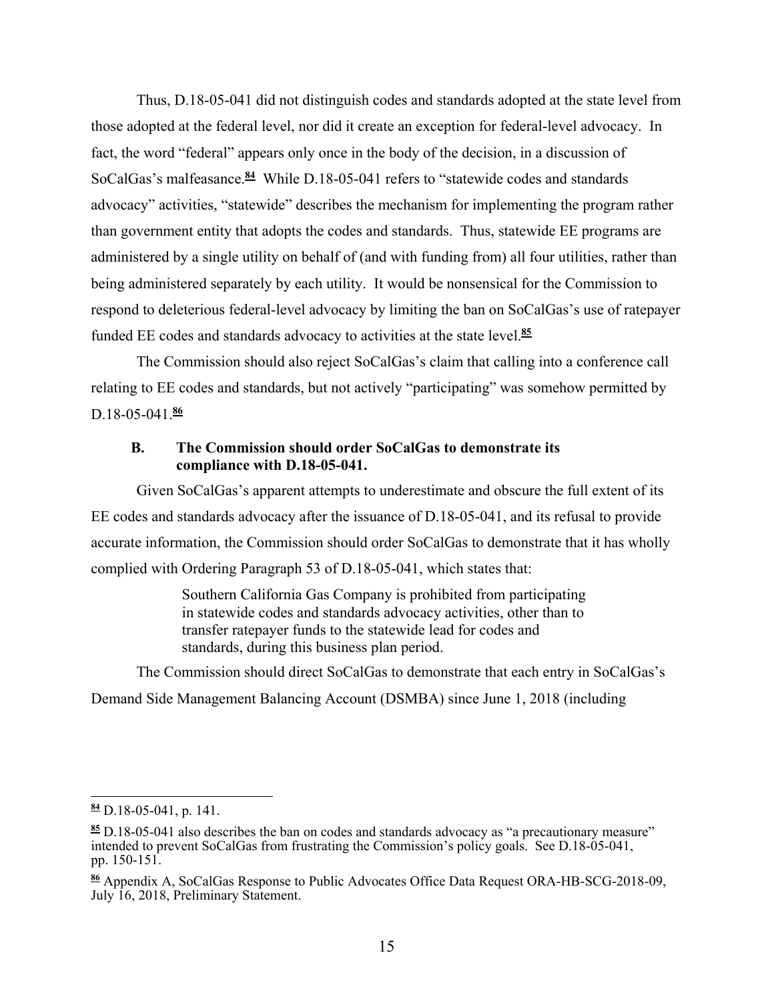Thus, D.18-05-041 did not distinguish codes and standards adopted at the state level from those adopted at the federal level, nor did it create an exception for federal-level advocacy. In fact, the word "federal" appears only once in the body of the decision, in a discussion of SoCalGas's malfeasance.**<sup>84</sup>** While D.18-05-041 refers to "statewide codes and standards advocacy" activities, "statewide" describes the mechanism for implementing the program rather than government entity that adopts the codes and standards. Thus, statewide EE programs are administered by a single utility on behalf of (and with funding from) all four utilities, rather than being administered separately by each utility. It would be nonsensical for the Commission to respond to deleterious federal-level advocacy by limiting the ban on SoCalGas's use of ratepayer funded EE codes and standards advocacy to activities at the state level.**<sup>85</sup>**

The Commission should also reject SoCalGas's claim that calling into a conference call relating to EE codes and standards, but not actively "participating" was somehow permitted by D.18-05-041.86

#### **B. The Commission should order SoCalGas to demonstrate its compliance with D.18-05-041.**

Given SoCalGas's apparent attempts to underestimate and obscure the full extent of its EE codes and standards advocacy after the issuance of D.18-05-041, and its refusal to provide accurate information, the Commission should order SoCalGas to demonstrate that it has wholly complied with Ordering Paragraph 53 of D.18-05-041, which states that:

> Southern California Gas Company is prohibited from participating in statewide codes and standards advocacy activities, other than to transfer ratepayer funds to the statewide lead for codes and standards, during this business plan period.

The Commission should direct SoCalGas to demonstrate that each entry in SoCalGas's Demand Side Management Balancing Account (DSMBA) since June 1, 2018 (including

**<sup>84</sup>** D.18-05-041, p. 141.

**<sup>85</sup>** D.18-05-041 also describes the ban on codes and standards advocacy as "a precautionary measure" intended to prevent SoCalGas from frustrating the Commission's policy goals. See D.18-05-041, pp. 150-151.

**<sup>86</sup>** Appendix A, SoCalGas Response to Public Advocates Office Data Request ORA-HB-SCG-2018-09, July 16, 2018, Preliminary Statement.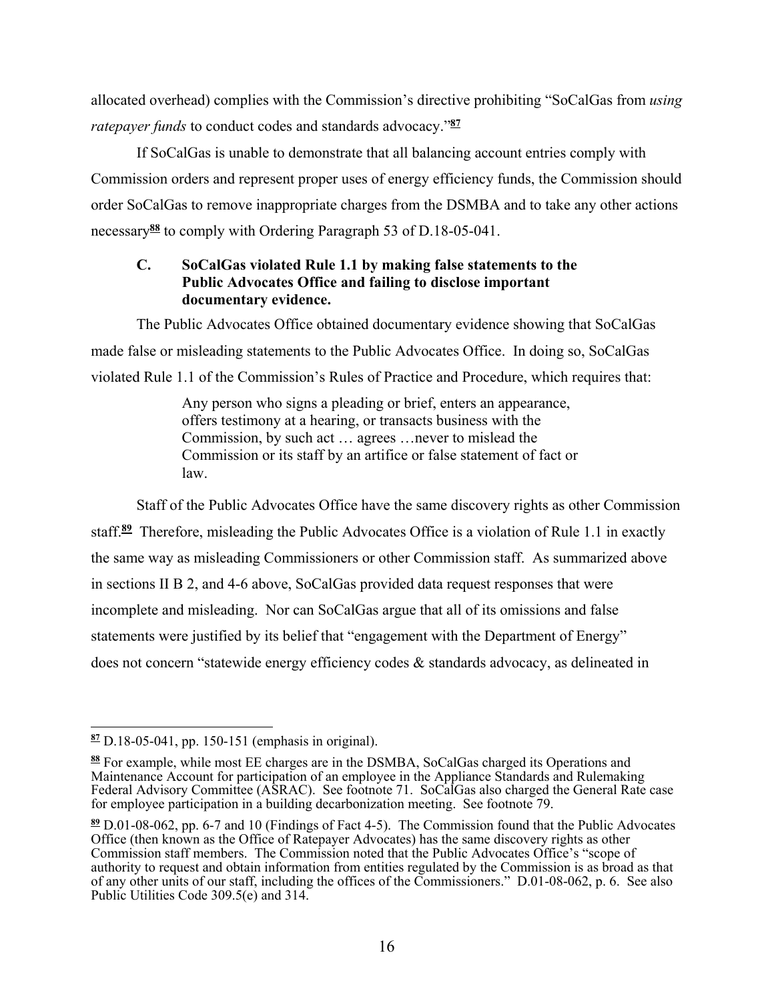allocated overhead) complies with the Commission's directive prohibiting "SoCalGas from *using ratepayer funds* to conduct codes and standards advocacy."**<sup>87</sup>**

If SoCalGas is unable to demonstrate that all balancing account entries comply with Commission orders and represent proper uses of energy efficiency funds, the Commission should order SoCalGas to remove inappropriate charges from the DSMBA and to take any other actions necessary**<sup>88</sup>** to comply with Ordering Paragraph 53 of D.18-05-041.

#### **C. SoCalGas violated Rule 1.1 by making false statements to the Public Advocates Office and failing to disclose important documentary evidence.**

The Public Advocates Office obtained documentary evidence showing that SoCalGas made false or misleading statements to the Public Advocates Office. In doing so, SoCalGas violated Rule 1.1 of the Commission's Rules of Practice and Procedure, which requires that:

> Any person who signs a pleading or brief, enters an appearance, offers testimony at a hearing, or transacts business with the Commission, by such act … agrees …never to mislead the Commission or its staff by an artifice or false statement of fact or law.

Staff of the Public Advocates Office have the same discovery rights as other Commission staff.**<sup>89</sup>** Therefore, misleading the Public Advocates Office is a violation of Rule 1.1 in exactly the same way as misleading Commissioners or other Commission staff. As summarized above in sections II B 2, and 4-6 above, SoCalGas provided data request responses that were incomplete and misleading. Nor can SoCalGas argue that all of its omissions and false statements were justified by its belief that "engagement with the Department of Energy" does not concern "statewide energy efficiency codes & standards advocacy, as delineated in

 $\overline{a}$ **<sup>87</sup>** D.18-05-041, pp. 150-151 (emphasis in original).

**<sup>88</sup>** For example, while most EE charges are in the DSMBA, SoCalGas charged its Operations and Maintenance Account for participation of an employee in the Appliance Standards and Rulemaking Federal Advisory Committee (ASRAC). See footnote 71. SoCalGas also charged the General Rate case for employee participation in a building decarbonization meeting. See footnote 79.

**<sup>89</sup>** D.01-08-062, pp. 6-7 and 10 (Findings of Fact 4-5). The Commission found that the Public Advocates Office (then known as the Office of Ratepayer Advocates) has the same discovery rights as other Commission staff members. The Commission noted that the Public Advocates Office's "scope of authority to request and obtain information from entities regulated by the Commission is as broad as that of any other units of our staff, including the offices of the Commissioners." D.01-08-062, p. 6. See also Public Utilities Code 309.5(e) and 314.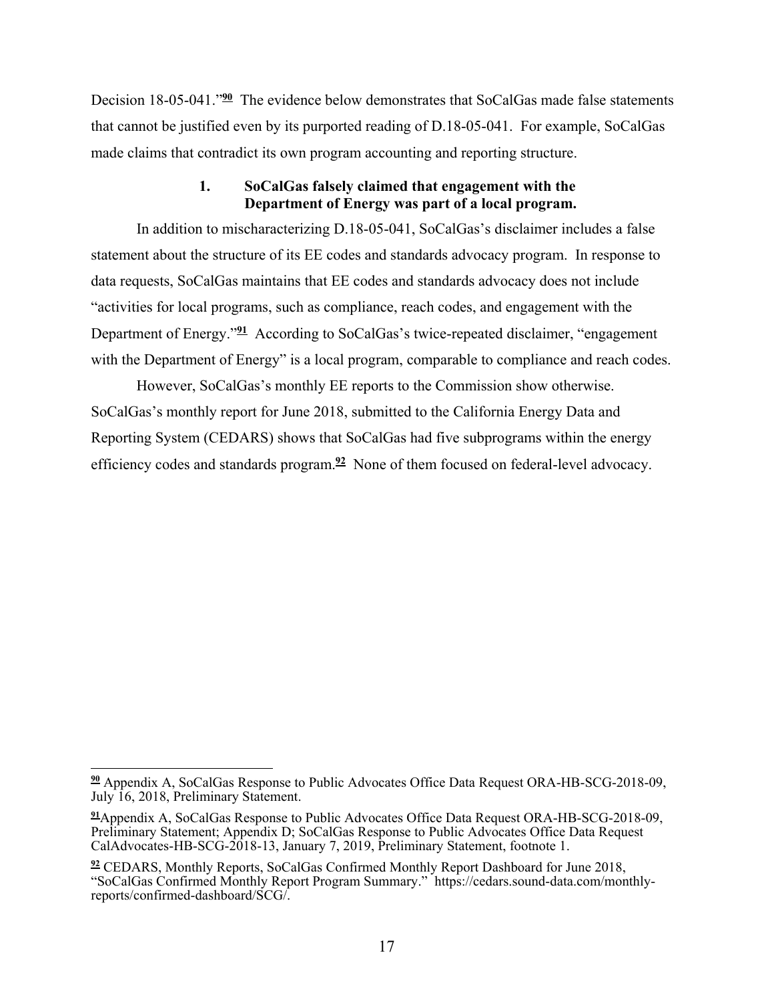Decision 18-05-041."**<sup>90</sup>** The evidence below demonstrates that SoCalGas made false statements that cannot be justified even by its purported reading of D.18-05-041. For example, SoCalGas made claims that contradict its own program accounting and reporting structure.

#### **1. SoCalGas falsely claimed that engagement with the Department of Energy was part of a local program.**

In addition to mischaracterizing D.18-05-041, SoCalGas's disclaimer includes a false statement about the structure of its EE codes and standards advocacy program. In response to data requests, SoCalGas maintains that EE codes and standards advocacy does not include "activities for local programs, such as compliance, reach codes, and engagement with the Department of Energy."**<sup>91</sup>** According to SoCalGas's twice-repeated disclaimer, "engagement with the Department of Energy" is a local program, comparable to compliance and reach codes.

However, SoCalGas's monthly EE reports to the Commission show otherwise. SoCalGas's monthly report for June 2018, submitted to the California Energy Data and Reporting System (CEDARS) shows that SoCalGas had five subprograms within the energy efficiency codes and standards program.**<sup>92</sup>** None of them focused on federal-level advocacy.

 $\overline{a}$ **<sup>90</sup>** Appendix A, SoCalGas Response to Public Advocates Office Data Request ORA-HB-SCG-2018-09, July 16, 2018, Preliminary Statement.

**<sup>91</sup>**Appendix A, SoCalGas Response to Public Advocates Office Data Request ORA-HB-SCG-2018-09, Preliminary Statement; Appendix D; SoCalGas Response to Public Advocates Office Data Request CalAdvocates-HB-SCG-2018-13, January 7, 2019, Preliminary Statement, footnote 1.

**<sup>92</sup>** CEDARS, Monthly Reports, SoCalGas Confirmed Monthly Report Dashboard for June 2018, "SoCalGas Confirmed Monthly Report Program Summary." https://cedars.sound-data.com/monthlyreports/confirmed-dashboard/SCG/.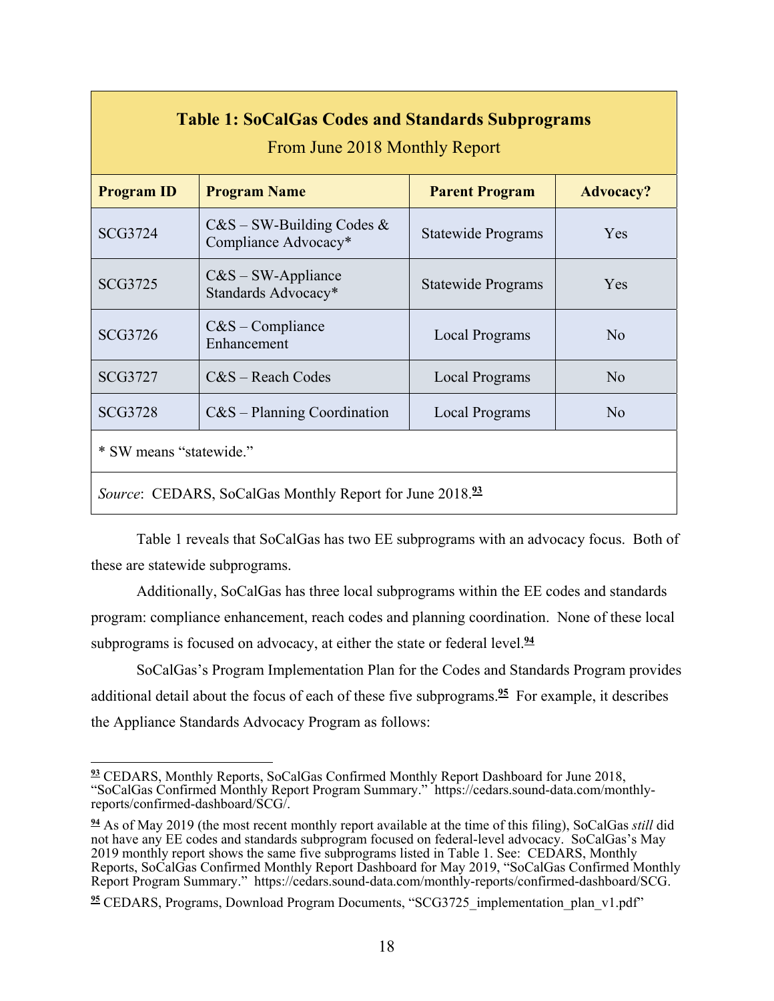| <b>Table 1: SoCalGas Codes and Standards Subprograms</b><br>From June 2018 Monthly Report |                                                   |                           |                  |
|-------------------------------------------------------------------------------------------|---------------------------------------------------|---------------------------|------------------|
| <b>Program ID</b>                                                                         | <b>Program Name</b>                               | <b>Parent Program</b>     | <b>Advocacy?</b> |
| <b>SCG3724</b>                                                                            | $C&S-SW-Building Codes &$<br>Compliance Advocacy* | <b>Statewide Programs</b> | Yes              |
| <b>SCG3725</b>                                                                            | $C&S-SW$ -Appliance<br>Standards Advocacy*        | <b>Statewide Programs</b> | Yes              |
| <b>SCG3726</b>                                                                            | $C&S$ – Compliance<br>Enhancement                 | <b>Local Programs</b>     | No               |
| <b>SCG3727</b>                                                                            | $C&S$ – Reach Codes                               | <b>Local Programs</b>     | No               |
| <b>SCG3728</b>                                                                            | $C&S$ – Planning Coordination                     | Local Programs            | No               |
| * SW means "statewide."                                                                   |                                                   |                           |                  |
| <i>Source:</i> CEDARS, SoCalGas Monthly Report for June 2018. <sup>93</sup>               |                                                   |                           |                  |

Table 1 reveals that SoCalGas has two EE subprograms with an advocacy focus. Both of these are statewide subprograms.

Additionally, SoCalGas has three local subprograms within the EE codes and standards program: compliance enhancement, reach codes and planning coordination. None of these local subprograms is focused on advocacy, at either the state or federal level.**<sup>94</sup>**

SoCalGas's Program Implementation Plan for the Codes and Standards Program provides additional detail about the focus of each of these five subprograms.**<sup>95</sup>** For example, it describes the Appliance Standards Advocacy Program as follows:

 **<sup>93</sup>** CEDARS, Monthly Reports, SoCalGas Confirmed Monthly Report Dashboard for June 2018, "SoCalGas Confirmed Monthly Report Program Summary." https://cedars.sound-data.com/monthlyreports/confirmed-dashboard/SCG/.

**<sup>94</sup>** As of May 2019 (the most recent monthly report available at the time of this filing), SoCalGas *still* did not have any EE codes and standards subprogram focused on federal-level advocacy. SoCalGas's May 2019 monthly report shows the same five subprograms listed in Table 1. See: CEDARS, Monthly Reports, SoCalGas Confirmed Monthly Report Dashboard for May 2019, "SoCalGas Confirmed Monthly Report Program Summary." https://cedars.sound-data.com/monthly-reports/confirmed-dashboard/SCG.

<sup>&</sup>lt;sup>95</sup> CEDARS, Programs, Download Program Documents, "SCG3725\_implementation\_plan\_v1.pdf"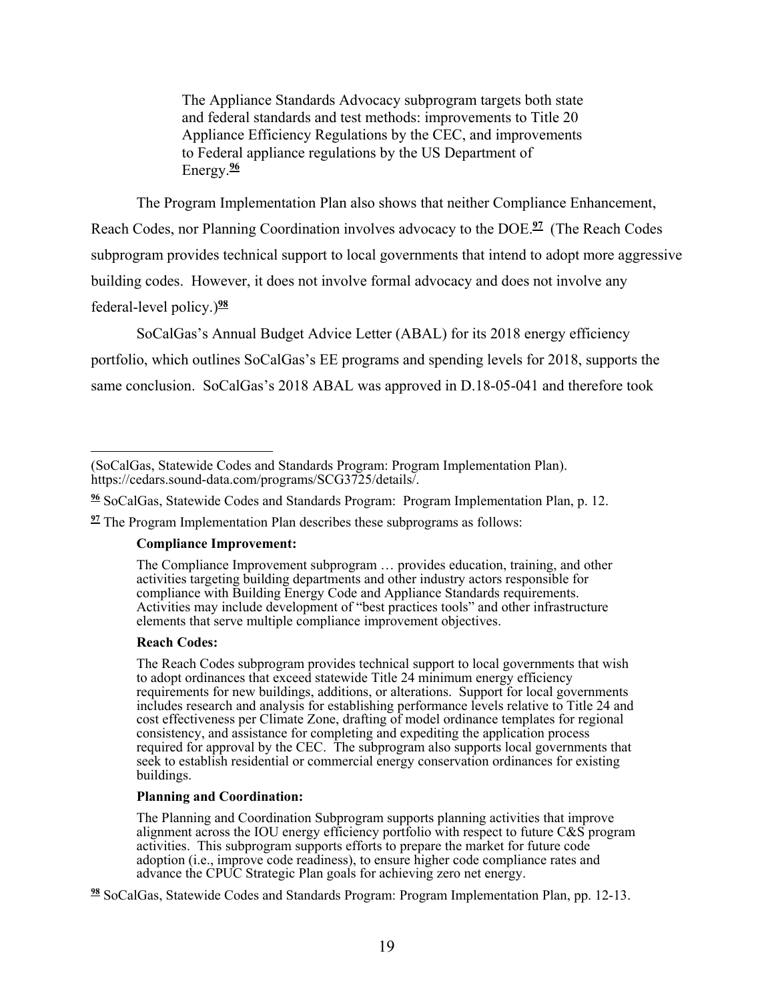The Appliance Standards Advocacy subprogram targets both state and federal standards and test methods: improvements to Title 20 Appliance Efficiency Regulations by the CEC, and improvements to Federal appliance regulations by the US Department of Energy.**<sup>96</sup>**

The Program Implementation Plan also shows that neither Compliance Enhancement, Reach Codes, nor Planning Coordination involves advocacy to the DOE.**<sup>97</sup>** (The Reach Codes subprogram provides technical support to local governments that intend to adopt more aggressive building codes. However, it does not involve formal advocacy and does not involve any federal-level policy.)**<sup>98</sup>**

SoCalGas's Annual Budget Advice Letter (ABAL) for its 2018 energy efficiency portfolio, which outlines SoCalGas's EE programs and spending levels for 2018, supports the same conclusion. SoCalGas's 2018 ABAL was approved in D.18-05-041 and therefore took

#### **Compliance Improvement:**

The Compliance Improvement subprogram … provides education, training, and other activities targeting building departments and other industry actors responsible for compliance with Building Energy Code and Appliance Standards requirements. Activities may include development of "best practices tools" and other infrastructure elements that serve multiple compliance improvement objectives.

#### **Reach Codes:**

The Reach Codes subprogram provides technical support to local governments that wish to adopt ordinances that exceed statewide Title 24 minimum energy efficiency requirements for new buildings, additions, or alterations. Support for local governments includes research and analysis for establishing performance levels relative to Title 24 and cost effectiveness per Climate Zone, drafting of model ordinance templates for regional consistency, and assistance for completing and expediting the application process required for approval by the CEC. The subprogram also supports local governments that seek to establish residential or commercial energy conservation ordinances for existing buildings.

#### **Planning and Coordination:**

The Planning and Coordination Subprogram supports planning activities that improve alignment across the IOU energy efficiency portfolio with respect to future  $C\&S$  program activities. This subprogram supports efforts to prepare the market for future code adoption (i.e., improve code readiness), to ensure higher code compliance rates and advance the CPUC Strategic Plan goals for achieving zero net energy.

**98** SoCalGas, Statewide Codes and Standards Program: Program Implementation Plan, pp. 12-13.

 (SoCalGas, Statewide Codes and Standards Program: Program Implementation Plan). https://cedars.sound-data.com/programs/SCG3725/details/.

**<sup>96</sup>** SoCalGas, Statewide Codes and Standards Program: Program Implementation Plan, p. 12.

**<sup>97</sup>** The Program Implementation Plan describes these subprograms as follows: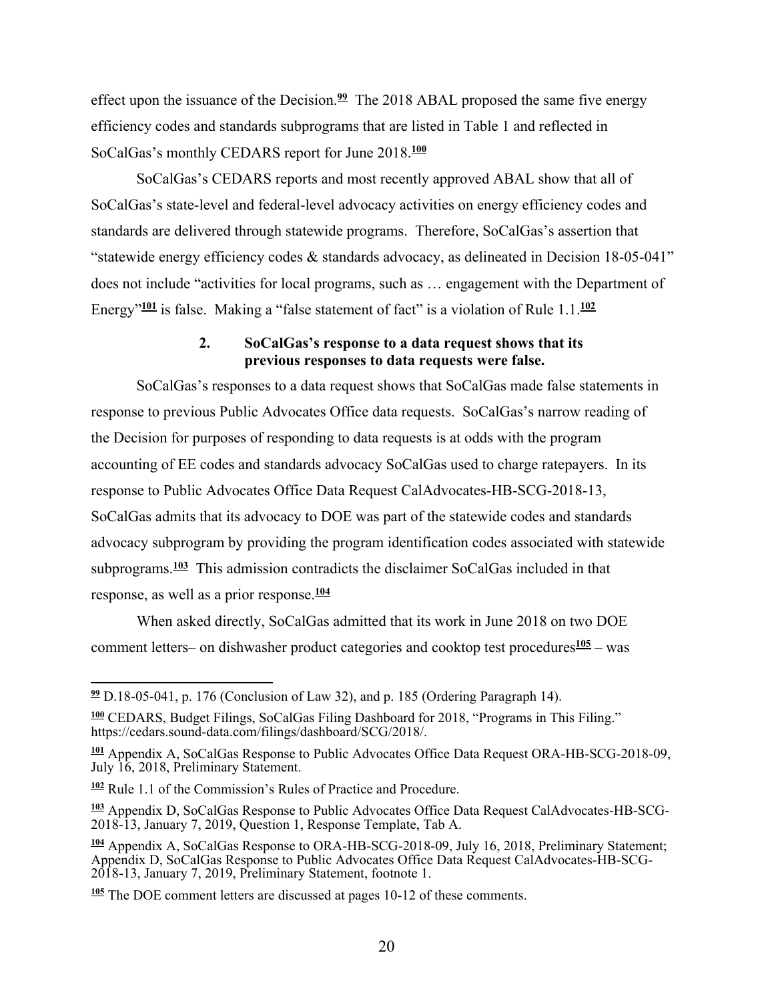effect upon the issuance of the Decision.**<sup>99</sup>** The 2018 ABAL proposed the same five energy efficiency codes and standards subprograms that are listed in Table 1 and reflected in SoCalGas's monthly CEDARS report for June 2018.**<sup>100</sup>**

SoCalGas's CEDARS reports and most recently approved ABAL show that all of SoCalGas's state-level and federal-level advocacy activities on energy efficiency codes and standards are delivered through statewide programs. Therefore, SoCalGas's assertion that "statewide energy efficiency codes & standards advocacy, as delineated in Decision 18-05-041" does not include "activities for local programs, such as … engagement with the Department of Energy"**<sup>101</sup>** is false. Making a "false statement of fact" is a violation of Rule 1.1.**<sup>102</sup>**

#### **2. SoCalGas's response to a data request shows that its previous responses to data requests were false.**

SoCalGas's responses to a data request shows that SoCalGas made false statements in response to previous Public Advocates Office data requests. SoCalGas's narrow reading of the Decision for purposes of responding to data requests is at odds with the program accounting of EE codes and standards advocacy SoCalGas used to charge ratepayers. In its response to Public Advocates Office Data Request CalAdvocates-HB-SCG-2018-13, SoCalGas admits that its advocacy to DOE was part of the statewide codes and standards advocacy subprogram by providing the program identification codes associated with statewide subprograms.**<sup>103</sup>** This admission contradicts the disclaimer SoCalGas included in that response, as well as a prior response.**<sup>104</sup>**

When asked directly, SoCalGas admitted that its work in June 2018 on two DOE comment letters– on dishwasher product categories and cooktop test procedures**<sup>105</sup>** – was

 **<sup>99</sup>** D.18-05-041, p. 176 (Conclusion of Law 32), and p. 185 (Ordering Paragraph 14).

**<sup>100</sup>** CEDARS, Budget Filings, SoCalGas Filing Dashboard for 2018, "Programs in This Filing." https://cedars.sound-data.com/filings/dashboard/SCG/2018/.

**<sup>101</sup>** Appendix A, SoCalGas Response to Public Advocates Office Data Request ORA-HB-SCG-2018-09, July 16, 2018, Preliminary Statement.

**<sup>102</sup>** Rule 1.1 of the Commission's Rules of Practice and Procedure.

**<sup>103</sup>** Appendix D, SoCalGas Response to Public Advocates Office Data Request CalAdvocates-HB-SCG-2018-13, January 7, 2019, Question 1, Response Template, Tab A.

**<sup>104</sup>** Appendix A, SoCalGas Response to ORA-HB-SCG-2018-09, July 16, 2018, Preliminary Statement; Appendix D, SoCalGas Response to Public Advocates Office Data Request CalAdvocates-HB-SCG-2018-13, January 7, 2019, Preliminary Statement, footnote 1.

**<sup>105</sup>** The DOE comment letters are discussed at pages 10-12 of these comments.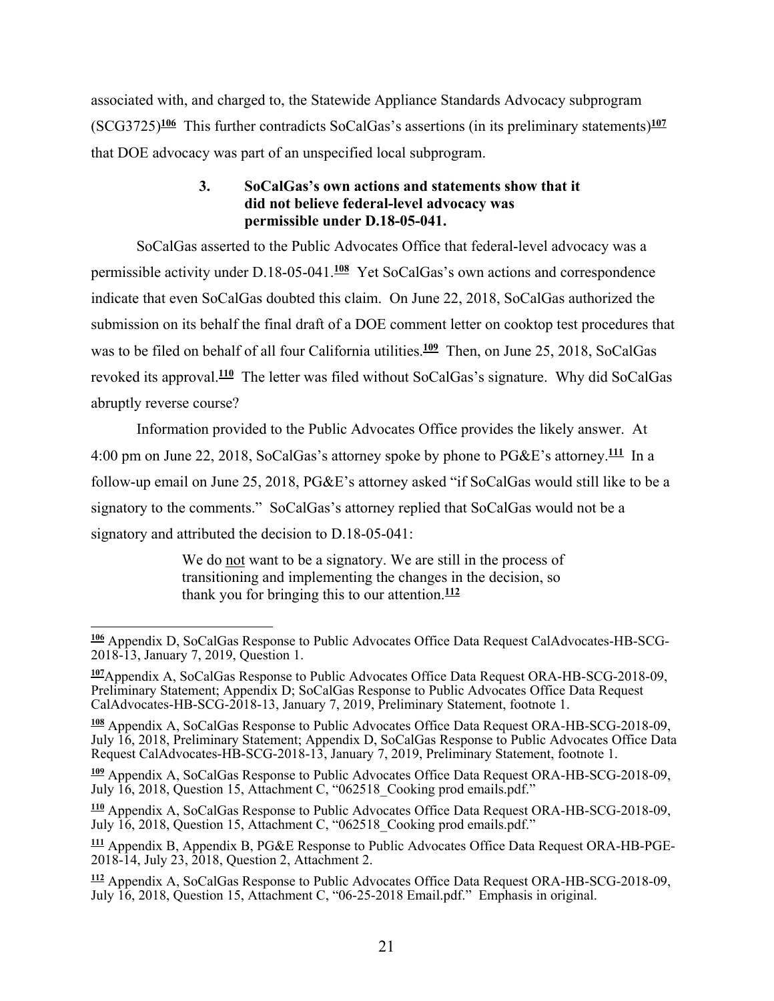associated with, and charged to, the Statewide Appliance Standards Advocacy subprogram (SCG3725)**<sup>106</sup>** This further contradicts SoCalGas's assertions (in its preliminary statements)**<sup>107</sup>** that DOE advocacy was part of an unspecified local subprogram.

## **3. SoCalGas's own actions and statements show that it did not believe federal-level advocacy was permissible under D.18-05-041.**

SoCalGas asserted to the Public Advocates Office that federal-level advocacy was a permissible activity under D.18-05-041.**<sup>108</sup>** Yet SoCalGas's own actions and correspondence indicate that even SoCalGas doubted this claim. On June 22, 2018, SoCalGas authorized the submission on its behalf the final draft of a DOE comment letter on cooktop test procedures that was to be filed on behalf of all four California utilities.<sup>109</sup> Then, on June 25, 2018, SoCalGas revoked its approval.**<sup>110</sup>** The letter was filed without SoCalGas's signature. Why did SoCalGas abruptly reverse course?

Information provided to the Public Advocates Office provides the likely answer. At 4:00 pm on June 22, 2018, SoCalGas's attorney spoke by phone to PG&E's attorney.**<sup>111</sup>** In a follow-up email on June 25, 2018, PG&E's attorney asked "if SoCalGas would still like to be a signatory to the comments." SoCalGas's attorney replied that SoCalGas would not be a signatory and attributed the decision to D.18-05-041:

> We do not want to be a signatory. We are still in the process of transitioning and implementing the changes in the decision, so thank you for bringing this to our attention.**<sup>112</sup>**

**<sup>109</sup>** Appendix A, SoCalGas Response to Public Advocates Office Data Request ORA-HB-SCG-2018-09, July 16, 2018, Question 15, Attachment C, "062518\_Cooking prod emails.pdf."

**<sup>110</sup>** Appendix A, SoCalGas Response to Public Advocates Office Data Request ORA-HB-SCG-2018-09, July 16, 2018, Question 15, Attachment C, "062518\_Cooking prod emails.pdf."

**111** Appendix B, Appendix B, PG&E Response to Public Advocates Office Data Request ORA-HB-PGE-2018-14, July 23, 2018, Question 2, Attachment 2.

**<sup>112</sup>** Appendix A, SoCalGas Response to Public Advocates Office Data Request ORA-HB-SCG-2018-09, July 16, 2018, Question 15, Attachment C, "06-25-2018 Email.pdf." Emphasis in original.

 $\overline{a}$ **106** Appendix D, SoCalGas Response to Public Advocates Office Data Request CalAdvocates-HB-SCG-2018-13, January 7, 2019, Question 1.

**<sup>107</sup>**Appendix A, SoCalGas Response to Public Advocates Office Data Request ORA-HB-SCG-2018-09, Preliminary Statement; Appendix D; SoCalGas Response to Public Advocates Office Data Request CalAdvocates-HB-SCG-2018-13, January 7, 2019, Preliminary Statement, footnote 1.

**<sup>108</sup>** Appendix A, SoCalGas Response to Public Advocates Office Data Request ORA-HB-SCG-2018-09, July 16, 2018, Preliminary Statement; Appendix D, SoCalGas Response to Public Advocates Office Data Request CalAdvocates-HB-SCG-2018-13, January 7, 2019, Preliminary Statement, footnote 1.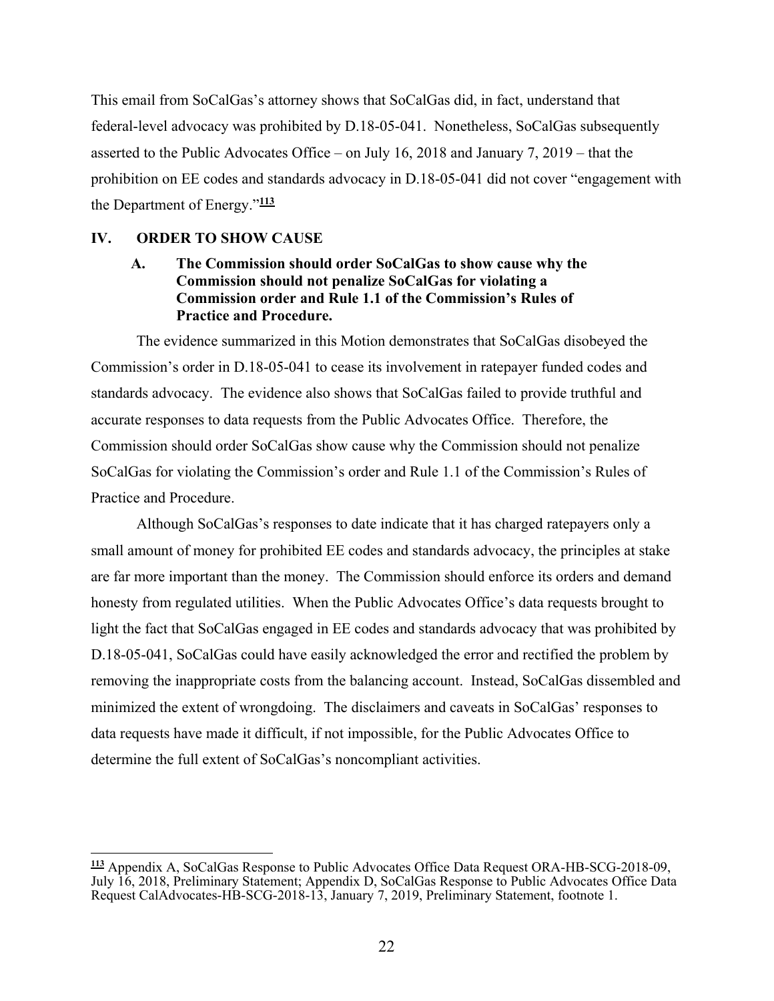This email from SoCalGas's attorney shows that SoCalGas did, in fact, understand that federal-level advocacy was prohibited by D.18-05-041. Nonetheless, SoCalGas subsequently asserted to the Public Advocates Office – on July 16, 2018 and January 7, 2019 – that the prohibition on EE codes and standards advocacy in D.18-05-041 did not cover "engagement with the Department of Energy."**<sup>113</sup>**

#### **IV. ORDER TO SHOW CAUSE**

## **A. The Commission should order SoCalGas to show cause why the Commission should not penalize SoCalGas for violating a Commission order and Rule 1.1 of the Commission's Rules of Practice and Procedure.**

The evidence summarized in this Motion demonstrates that SoCalGas disobeyed the Commission's order in D.18-05-041 to cease its involvement in ratepayer funded codes and standards advocacy. The evidence also shows that SoCalGas failed to provide truthful and accurate responses to data requests from the Public Advocates Office. Therefore, the Commission should order SoCalGas show cause why the Commission should not penalize SoCalGas for violating the Commission's order and Rule 1.1 of the Commission's Rules of Practice and Procedure.

Although SoCalGas's responses to date indicate that it has charged ratepayers only a small amount of money for prohibited EE codes and standards advocacy, the principles at stake are far more important than the money. The Commission should enforce its orders and demand honesty from regulated utilities. When the Public Advocates Office's data requests brought to light the fact that SoCalGas engaged in EE codes and standards advocacy that was prohibited by D.18-05-041, SoCalGas could have easily acknowledged the error and rectified the problem by removing the inappropriate costs from the balancing account. Instead, SoCalGas dissembled and minimized the extent of wrongdoing. The disclaimers and caveats in SoCalGas' responses to data requests have made it difficult, if not impossible, for the Public Advocates Office to determine the full extent of SoCalGas's noncompliant activities.

**<sup>113</sup>** Appendix A, SoCalGas Response to Public Advocates Office Data Request ORA-HB-SCG-2018-09, July 16, 2018, Preliminary Statement; Appendix D, SoCalGas Response to Public Advocates Office Data Request CalAdvocates-HB-SCG-2018-13, January 7, 2019, Preliminary Statement, footnote 1.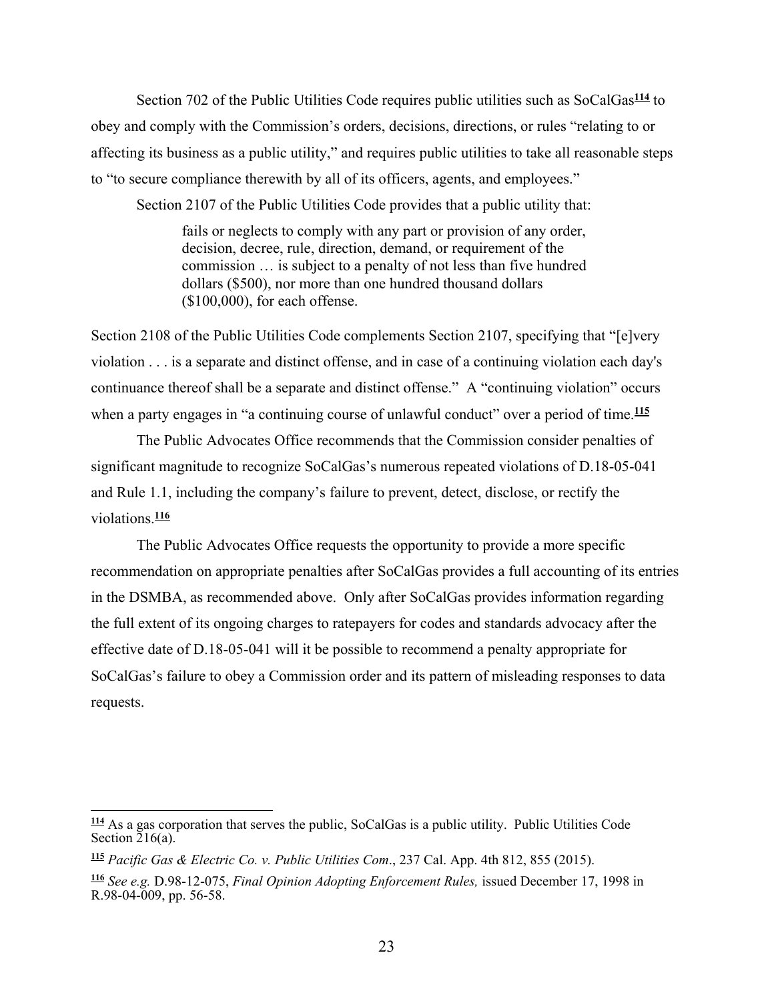Section 702 of the Public Utilities Code requires public utilities such as SoCalGas**<sup>114</sup>** to obey and comply with the Commission's orders, decisions, directions, or rules "relating to or affecting its business as a public utility," and requires public utilities to take all reasonable steps to "to secure compliance therewith by all of its officers, agents, and employees."

Section 2107 of the Public Utilities Code provides that a public utility that:

fails or neglects to comply with any part or provision of any order, decision, decree, rule, direction, demand, or requirement of the commission … is subject to a penalty of not less than five hundred dollars (\$500), nor more than one hundred thousand dollars (\$100,000), for each offense.

Section 2108 of the Public Utilities Code complements Section 2107, specifying that "[e]very violation . . . is a separate and distinct offense, and in case of a continuing violation each day's continuance thereof shall be a separate and distinct offense." A "continuing violation" occurs when a party engages in "a continuing course of unlawful conduct" over a period of time.<sup>115</sup>

The Public Advocates Office recommends that the Commission consider penalties of significant magnitude to recognize SoCalGas's numerous repeated violations of D.18-05-041 and Rule 1.1, including the company's failure to prevent, detect, disclose, or rectify the violations.**<sup>116</sup>**

The Public Advocates Office requests the opportunity to provide a more specific recommendation on appropriate penalties after SoCalGas provides a full accounting of its entries in the DSMBA, as recommended above. Only after SoCalGas provides information regarding the full extent of its ongoing charges to ratepayers for codes and standards advocacy after the effective date of D.18-05-041 will it be possible to recommend a penalty appropriate for SoCalGas's failure to obey a Commission order and its pattern of misleading responses to data requests.

 $\overline{a}$ 

**<sup>114</sup>** As a gas corporation that serves the public, SoCalGas is a public utility. Public Utilities Code Section 216(a).

**<sup>115</sup>** *Pacific Gas & Electric Co. v. Public Utilities Com*., 237 Cal. App. 4th 812, 855 (2015).

**<sup>116</sup>** *See e.g.* D.98-12-075, *Final Opinion Adopting Enforcement Rules,* issued December 17, 1998 in R.98-04-009, pp. 56-58.